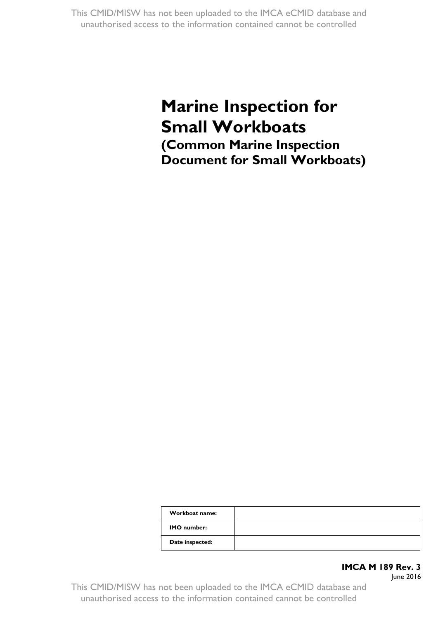# **Marine Inspection for Small Workboats (Common Marine Inspection Document for Small Workboats)**

| Workboat name:     |  |
|--------------------|--|
| <b>IMO</b> number: |  |
| Date inspected:    |  |

## **IMCA M 189 Rev. 3**

June 2016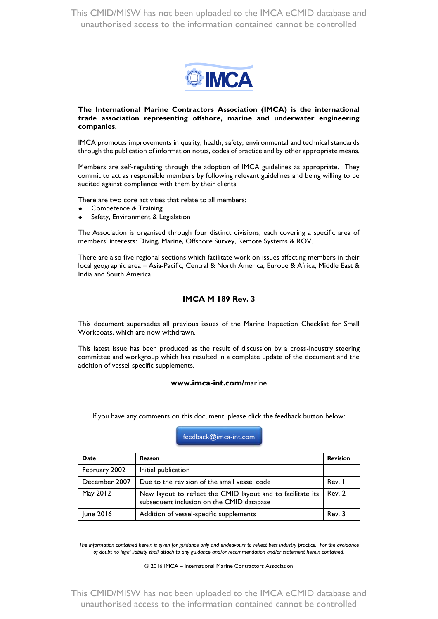

#### **The International Marine Contractors Association (IMCA) is the internat ional trade association representing offshore, marine and underwater engineering companies.**

IMCA promotes improvements in quality, health, safety, environmental and technical standards through the publication of information notes, codes of practice and by other appropriate means.

Members are self-regulating through the adoption of IMCA guidelines as appropriate. They commit to act as responsible members by following relevant guidelines and being willing to be audited against compliance with them by their clients.

There are two core activities that relate to all members:

- Competence & Training
- Safety, Environment & Legislation

The Association is organised through four distinct divisions, each covering a specific area of members' interests: Diving, Marine, Offshore Survey, Remote Systems & ROV.

There are also five regional sections which facilitate work on issues affecting members in their local geographic area – Asia-Pacific, Central & North America, Europe & Africa, Middle East & India and South America.

#### **IMCA M 189 Rev. 3**

This document supersedes all previous issues of the Marine Inspection Checklist for Small Workboats, which are now withdrawn.

This latest issue has been produced as the result of discussion by a cross-industry steering committee and workgroup which has resulted in a complete update of the document and the addition of vessel-specific supplements.

#### **www.imca-int.com/**marine

If you have any comments on this document, please click the feedback button below:

#### [feedback@imca-int.com](mailto:feedback@imca-int.com?subject=IMCA%20M%20189%20-%20Marine%20inspection%20for%20small%20workboats)

| Date          | <b>Reason</b>                                                                                            | <b>Revision</b> |
|---------------|----------------------------------------------------------------------------------------------------------|-----------------|
| February 2002 | Initial publication                                                                                      |                 |
| December 2007 | Due to the revision of the small vessel code                                                             | Rev. I          |
| May 2012      | New layout to reflect the CMID layout and to facilitate its<br>subsequent inclusion on the CMID database | Rev. 2          |
| June 2016     | Addition of vessel-specific supplements                                                                  | Rev. 3          |

*The information contained herein is given for guidance only and endeavours to reflect best industry practice. For the avoidance of doubt no legal liability shall attach to any guidance and/or recommendation and/or statement herein contained.*

© 2016 IMCA – International Marine Contractors Association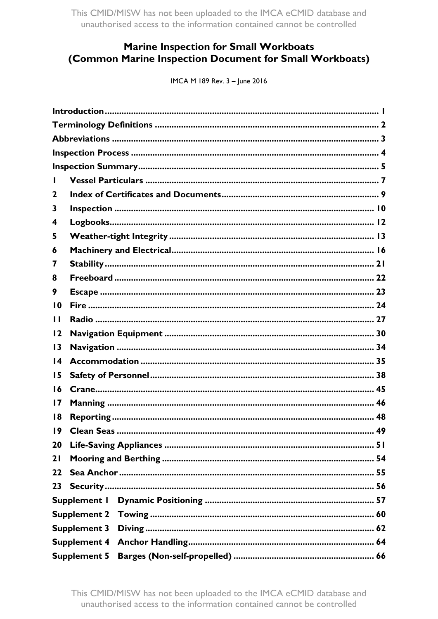# **Marine Inspection for Small Workboats** (Common Marine Inspection Document for Small Workboats)

IMCA M 189 Rev. 3 - June 2016

| 2               |                     |  |
|-----------------|---------------------|--|
| 3               |                     |  |
| 4               |                     |  |
| 5               |                     |  |
| 6               |                     |  |
| 7               |                     |  |
| 8               |                     |  |
| 9               |                     |  |
| 10              |                     |  |
| П               |                     |  |
| 12              |                     |  |
| $\overline{13}$ |                     |  |
| 14              |                     |  |
| 15              |                     |  |
| 16              |                     |  |
| 17              |                     |  |
| 18              |                     |  |
| 19              |                     |  |
| 20              |                     |  |
| 21              |                     |  |
| 22              |                     |  |
| 23              |                     |  |
|                 | Supplement I        |  |
|                 | <b>Supplement 2</b> |  |
|                 | <b>Supplement 3</b> |  |
|                 | <b>Supplement 4</b> |  |
|                 | <b>Supplement 5</b> |  |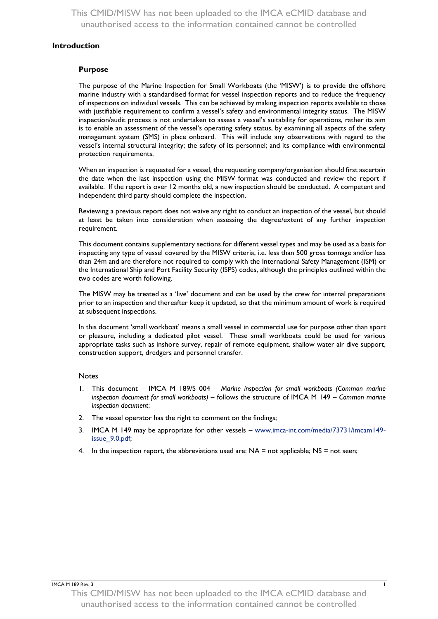#### <span id="page-4-0"></span>**Introduction**

#### **Purpose**

The purpose of the Marine Inspection for Small Workboats (the 'MISW') is to provide the offshore marine industry with a standardised format for vessel inspection reports and to reduce the frequency of inspections on individual vessels. This can be achieved by making inspection reports available to those with justifiable requirement to confirm a vessel's safety and environmental integrity status. The MISW inspection/audit process is not undertaken to assess a vessel's suitability for operations, rather its aim is to enable an assessment of the vessel's operating safety status, by examining all aspects of the safety management system (SMS) in place onboard. This will include any observations with regard to the vessel's internal structural integrity; the safety of its personnel; and its compliance with environmental protection requirements.

When an inspection is requested for a vessel, the requesting company/organisation should first ascertain the date when the last inspection using the MISW format was conducted and review the report if available. If the report is over 12 months old, a new inspection should be conducted. A competent and independent third party should complete the inspection.

Reviewing a previous report does not waive any right to conduct an inspection of the vessel, but should at least be taken into consideration when assessing the degree/extent of any further inspection requirement.

This document contains supplementary sections for different vessel types and may be used as a basis for inspecting any type of vessel covered by the MISW criteria, i.e. less than 500 gross tonnage and/or less than 24m and are therefore not required to comply with the International Safety Management (ISM) or the International Ship and Port Facility Security (ISPS) codes, although the principles outlined within the two codes are worth following.

The MISW may be treated as a 'live' document and can be used by the crew for internal preparations prior to an inspection and thereafter keep it updated, so that the minimum amount of work is required at subsequent inspections.

In this document 'small workboat' means a small vessel in commercial use for purpose other than sport or pleasure, including a dedicated pilot vessel. These small workboats could be used for various appropriate tasks such as inshore survey, repair of remote equipment, shallow water air dive support, construction support, dredgers and personnel transfer.

#### **Notes**

- 1. This document IMCA M 189/S 004 *Marine inspection for small workboats (Common marine inspection document for small workboats)* – follows the structure of IMCA M 149 – *Common marine inspection document*;
- 2. The vessel operator has the right to comment on the findings;
- 3. IMCA M 149 may be appropriate for other vessels [www.imca-int.com/media/73731/imcam149](http://www.imca-int.com/media/73731/imcam149-issue_9.0.pdf) [issue\\_9.0.pdf;](http://www.imca-int.com/media/73731/imcam149-issue_9.0.pdf)
- 4. In the inspection report, the abbreviations used are:  $NA =$  not applicable;  $NS =$  not seen;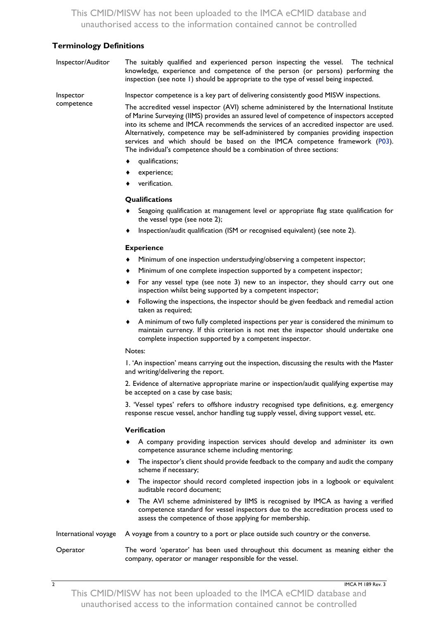### <span id="page-5-0"></span>**Terminology Definitions**

| Inspector/Auditor | The suitably qualified and experienced person inspecting the vessel. The technical<br>knowledge, experience and competence of the person (or persons) performing the<br>inspection (see note 1) should be appropriate to the type of vessel being inspected.                                                                                                                                                                                                                                                                   |
|-------------------|--------------------------------------------------------------------------------------------------------------------------------------------------------------------------------------------------------------------------------------------------------------------------------------------------------------------------------------------------------------------------------------------------------------------------------------------------------------------------------------------------------------------------------|
| Inspector         | Inspector competence is a key part of delivering consistently good MISW inspections.                                                                                                                                                                                                                                                                                                                                                                                                                                           |
| competence        | The accredited vessel inspector (AVI) scheme administered by the International Institute<br>of Marine Surveying (IIMS) provides an assured level of competence of inspectors accepted<br>into its scheme and IMCA recommends the services of an accredited inspector are used.<br>Alternatively, competence may be self-administered by companies providing inspection<br>services and which should be based on the IMCA competence framework (P03).<br>The individual's competence should be a combination of three sections: |
|                   | qualifications;<br>٠                                                                                                                                                                                                                                                                                                                                                                                                                                                                                                           |
|                   | experience;                                                                                                                                                                                                                                                                                                                                                                                                                                                                                                                    |
|                   | verification.                                                                                                                                                                                                                                                                                                                                                                                                                                                                                                                  |
|                   | Qualifications                                                                                                                                                                                                                                                                                                                                                                                                                                                                                                                 |
|                   | Seagoing qualification at management level or appropriate flag state qualification for<br>٠<br>the vessel type (see note 2);                                                                                                                                                                                                                                                                                                                                                                                                   |
|                   | Inspection/audit qualification (ISM or recognised equivalent) (see note 2).<br>٠                                                                                                                                                                                                                                                                                                                                                                                                                                               |
|                   | <b>Experience</b>                                                                                                                                                                                                                                                                                                                                                                                                                                                                                                              |
|                   | Minimum of one inspection understudying/observing a competent inspector;                                                                                                                                                                                                                                                                                                                                                                                                                                                       |
|                   | Minimum of one complete inspection supported by a competent inspector;<br>٠                                                                                                                                                                                                                                                                                                                                                                                                                                                    |
|                   | For any vessel type (see note 3) new to an inspector, they should carry out one<br>٠<br>inspection whilst being supported by a competent inspector;                                                                                                                                                                                                                                                                                                                                                                            |
|                   | Following the inspections, the inspector should be given feedback and remedial action<br>٠<br>taken as required;                                                                                                                                                                                                                                                                                                                                                                                                               |
|                   | A minimum of two fully completed inspections per year is considered the minimum to<br>٠<br>maintain currency. If this criterion is not met the inspector should undertake one<br>complete inspection supported by a competent inspector.                                                                                                                                                                                                                                                                                       |
|                   | Notes:                                                                                                                                                                                                                                                                                                                                                                                                                                                                                                                         |
|                   | 1. 'An inspection' means carrying out the inspection, discussing the results with the Master<br>and writing/delivering the report.                                                                                                                                                                                                                                                                                                                                                                                             |
|                   | 2. Evidence of alternative appropriate marine or inspection/audit qualifying expertise may<br>be accepted on a case by case basis;                                                                                                                                                                                                                                                                                                                                                                                             |
|                   | 3. 'Vessel types' refers to offshore industry recognised type definitions, e.g. emergency<br>response rescue vessel, anchor handling tug supply vessel, diving support vessel, etc.                                                                                                                                                                                                                                                                                                                                            |

#### **Verification**

- A company providing inspection services should develop and administer its own competence assurance scheme including mentoring;
- The inspector's client should provide feedback to the company and audit the company scheme if necessary;
- The inspector should record completed inspection jobs in a logbook or equivalent auditable record document;
- The AVI scheme administered by IIMS is recognised by IMCA as having a verified competence standard for vessel inspectors due to the accreditation process used to assess the competence of those applying for membership.
- International voyage A voyage from a country to a port or place outside such country or the converse.

Operator The word 'operator' has been used throughout this document as meaning either the company, operator or manager responsible for the vessel.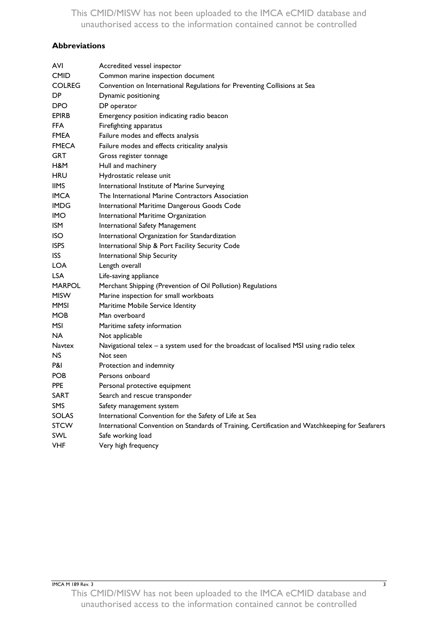## <span id="page-6-0"></span>**Abbreviations**

| AVI           | Accredited vessel inspector                                                                     |
|---------------|-------------------------------------------------------------------------------------------------|
| <b>CMID</b>   | Common marine inspection document                                                               |
| <b>COLREG</b> | Convention on International Regulations for Preventing Collisions at Sea                        |
| DP            | Dynamic positioning                                                                             |
| <b>DPO</b>    | DP operator                                                                                     |
| <b>EPIRB</b>  | Emergency position indicating radio beacon                                                      |
| <b>FFA</b>    | Firefighting apparatus                                                                          |
| <b>FMEA</b>   | Failure modes and effects analysis                                                              |
| <b>FMECA</b>  | Failure modes and effects criticality analysis                                                  |
| <b>GRT</b>    | Gross register tonnage                                                                          |
| H&M           | Hull and machinery                                                                              |
| <b>HRU</b>    | Hydrostatic release unit                                                                        |
| <b>IIMS</b>   | International Institute of Marine Surveying                                                     |
| <b>IMCA</b>   | The International Marine Contractors Association                                                |
| <b>IMDG</b>   | International Maritime Dangerous Goods Code                                                     |
| <b>IMO</b>    | International Maritime Organization                                                             |
| ISM           | International Safety Management                                                                 |
| <b>ISO</b>    | International Organization for Standardization                                                  |
| <b>ISPS</b>   | International Ship & Port Facility Security Code                                                |
| <b>ISS</b>    | International Ship Security                                                                     |
| <b>LOA</b>    | Length overall                                                                                  |
| <b>LSA</b>    | Life-saving appliance                                                                           |
| <b>MARPOL</b> | Merchant Shipping (Prevention of Oil Pollution) Regulations                                     |
| <b>MISW</b>   | Marine inspection for small workboats                                                           |
| MMSI          | Maritime Mobile Service Identity                                                                |
| <b>MOB</b>    | Man overboard                                                                                   |
| <b>MSI</b>    | Maritime safety information                                                                     |
| NA.           | Not applicable                                                                                  |
| <b>Navtex</b> | Navigational telex - a system used for the broadcast of localised MSI using radio telex         |
| NS.           | Not seen                                                                                        |
| P&I           | Protection and indemnity                                                                        |
| <b>POB</b>    | Persons onboard                                                                                 |
| <b>PPE</b>    | Personal protective equipment                                                                   |
| <b>SART</b>   | Search and rescue transponder                                                                   |
| SMS           | Safety management system                                                                        |
| <b>SOLAS</b>  | International Convention for the Safety of Life at Sea                                          |
| <b>STCW</b>   | International Convention on Standards of Training, Certification and Watchkeeping for Seafarers |
| SWL           | Safe working load                                                                               |
| <b>VHF</b>    | Very high frequency                                                                             |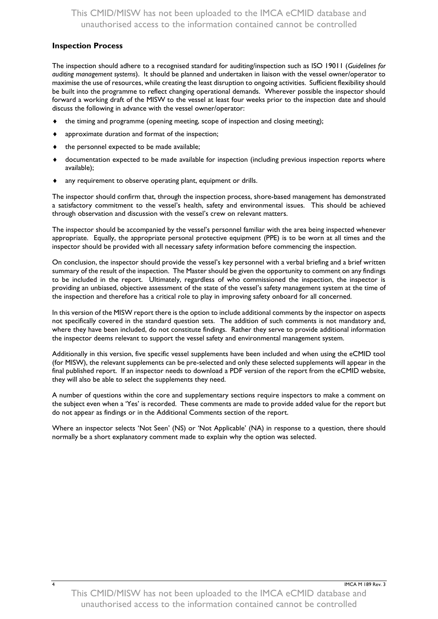#### <span id="page-7-0"></span>**Inspection Process**

The inspection should adhere to a recognised standard for auditing/inspection such as ISO 19011 (*Guidelines for auditing management systems*). It should be planned and undertaken in liaison with the vessel owner/operator to maximise the use of resources, while creating the least disruption to ongoing activities. Sufficient flexibility should be built into the programme to reflect changing operational demands. Wherever possible the inspector should forward a working draft of the MISW to the vessel at least four weeks prior to the inspection date and should discuss the following in advance with the vessel owner/operator:

- the timing and programme (opening meeting, scope of inspection and closing meeting);
- approximate duration and format of the inspection;
- the personnel expected to be made available;
- documentation expected to be made available for inspection (including previous inspection reports where available);
- any requirement to observe operating plant, equipment or drills.

The inspector should confirm that, through the inspection process, shore-based management has demonstrated a satisfactory commitment to the vessel's health, safety and environmental issues. This should be achieved through observation and discussion with the vessel's crew on relevant matters.

The inspector should be accompanied by the vessel's personnel familiar with the area being inspected whenever appropriate. Equally, the appropriate personal protective equipment (PPE) is to be worn at all times and the inspector should be provided with all necessary safety information before commencing the inspection.

On conclusion, the inspector should provide the vessel's key personnel with a verbal briefing and a brief written summary of the result of the inspection. The Master should be given the opportunity to comment on any findings to be included in the report. Ultimately, regardless of who commissioned the inspection, the inspector is providing an unbiased, objective assessment of the state of the vessel's safety management system at the time of the inspection and therefore has a critical role to play in improving safety onboard for all concerned.

In this version of the MISW report there is the option to include additional comments by the inspector on aspects not specifically covered in the standard question sets. The addition of such comments is not mandatory and, where they have been included, do not constitute findings. Rather they serve to provide additional information the inspector deems relevant to support the vessel safety and environmental management system.

Additionally in this version, five specific vessel supplements have been included and when using the eCMID tool (for MISW), the relevant supplements can be pre-selected and only these selected supplements will appear in the final published report. If an inspector needs to download a PDF version of the report from the eCMID website, they will also be able to select the supplements they need.

A number of questions within the core and supplementary sections require inspectors to make a comment on the subject even when a 'Yes' is recorded. These comments are made to provide added value for the report but do not appear as findings or in the Additional Comments section of the report.

Where an inspector selects 'Not Seen' (NS) or 'Not Applicable' (NA) in response to a question, there should normally be a short explanatory comment made to explain why the option was selected.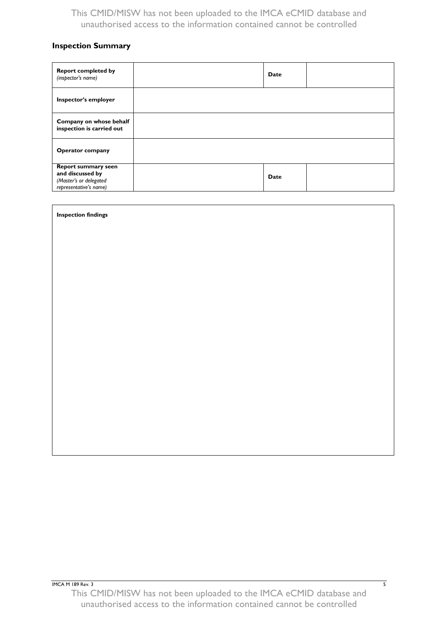## <span id="page-8-0"></span>**Inspection Summary**

| <b>Report completed by</b><br>(inspector's name)                                                   | Date |  |
|----------------------------------------------------------------------------------------------------|------|--|
| Inspector's employer                                                                               |      |  |
| Company on whose behalf<br>inspection is carried out                                               |      |  |
| <b>Operator company</b>                                                                            |      |  |
| <b>Report summary seen</b><br>and discussed by<br>(Master's or delegated<br>representative's name) | Date |  |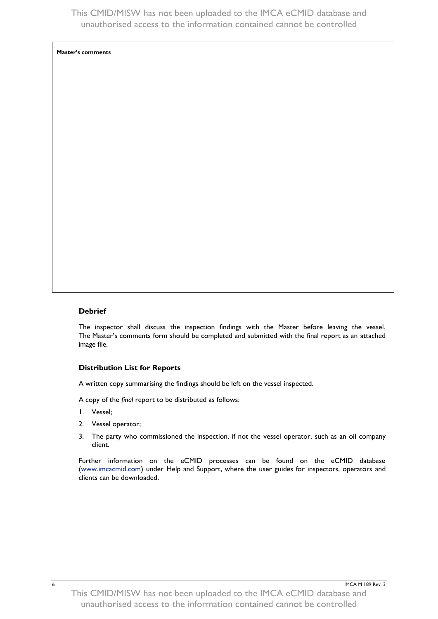**Master's comments**

#### **Debrief**

The inspector shall discuss the inspection findings with the Master before leaving the vessel. The Master's comments form should be completed and submitted with the final report as an attached image file.

#### **Distribution List for Reports**

A written copy summarising the findings should be left on the vessel inspected.

A copy of the *final* report to be distributed as follows:

- 1. Vessel;
- 2. Vessel operator;
- 3. The party who commissioned the inspection, if not the vessel operator, such as an oil company client.

Further information on the eCMID processes can be found on the eCMID database [\(www.imcacmid.com\)](http://www.imcacmid.com/) under Help and Support, where the user guides for inspectors, operators and clients can be downloaded.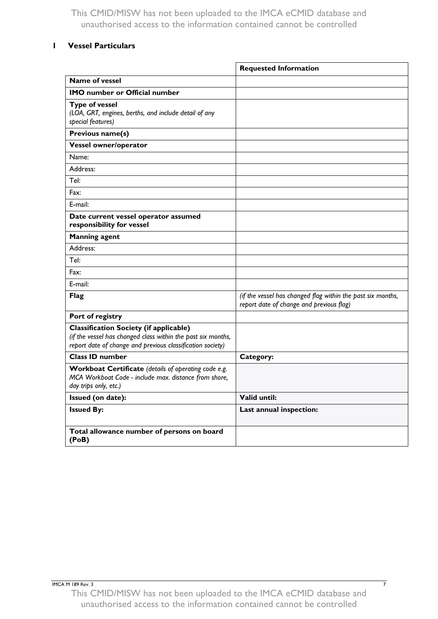## <span id="page-10-0"></span>**1 Vessel Particulars**

|                                                                                                                                                                             | <b>Requested Information</b>                                                                            |
|-----------------------------------------------------------------------------------------------------------------------------------------------------------------------------|---------------------------------------------------------------------------------------------------------|
| <b>Name of vessel</b>                                                                                                                                                       |                                                                                                         |
| <b>IMO</b> number or Official number                                                                                                                                        |                                                                                                         |
| <b>Type of vessel</b><br>(LOA, GRT, engines, berths, and include detail of any<br>special features)                                                                         |                                                                                                         |
| Previous name(s)                                                                                                                                                            |                                                                                                         |
| Vessel owner/operator                                                                                                                                                       |                                                                                                         |
| Name:                                                                                                                                                                       |                                                                                                         |
| Address:                                                                                                                                                                    |                                                                                                         |
| Tel:                                                                                                                                                                        |                                                                                                         |
| Fax:                                                                                                                                                                        |                                                                                                         |
| E-mail:                                                                                                                                                                     |                                                                                                         |
| Date current vessel operator assumed<br>responsibility for vessel                                                                                                           |                                                                                                         |
| <b>Manning agent</b>                                                                                                                                                        |                                                                                                         |
| Address:                                                                                                                                                                    |                                                                                                         |
| Tel:                                                                                                                                                                        |                                                                                                         |
| Fax:                                                                                                                                                                        |                                                                                                         |
| E-mail:                                                                                                                                                                     |                                                                                                         |
| <b>Flag</b>                                                                                                                                                                 | (if the vessel has changed flag within the past six months,<br>report date of change and previous flag) |
| Port of registry                                                                                                                                                            |                                                                                                         |
| <b>Classification Society (if applicable)</b><br>(if the vessel has changed class within the past six months,<br>report date of change and previous classification society) |                                                                                                         |
| <b>Class ID number</b>                                                                                                                                                      | Category:                                                                                               |
| Workboat Certificate (details of operating code e.g.<br>MCA Workboat Code - include max. distance from shore,<br>day trips only, etc.)                                      |                                                                                                         |
| Issued (on date):                                                                                                                                                           | Valid until:                                                                                            |
| <b>Issued By:</b>                                                                                                                                                           | Last annual inspection:                                                                                 |
| Total allowance number of persons on board<br>(PoB)                                                                                                                         |                                                                                                         |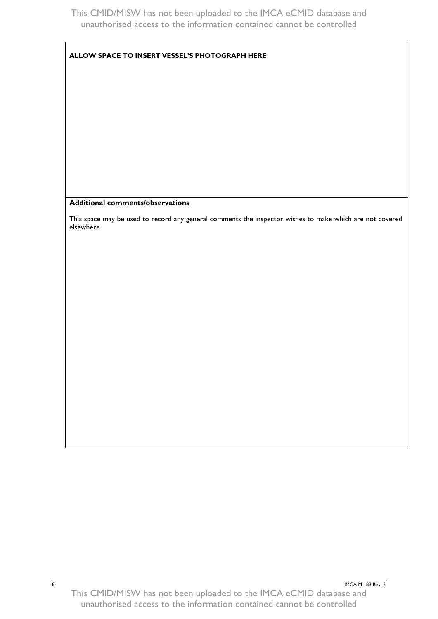#### **ALLOW SPACE TO INSERT VESSEL'S PHOTOGRAPH HERE**

#### **Additional comments/observations**

This space may be used to record any general comments the inspector wishes to make which are not covered elsewhere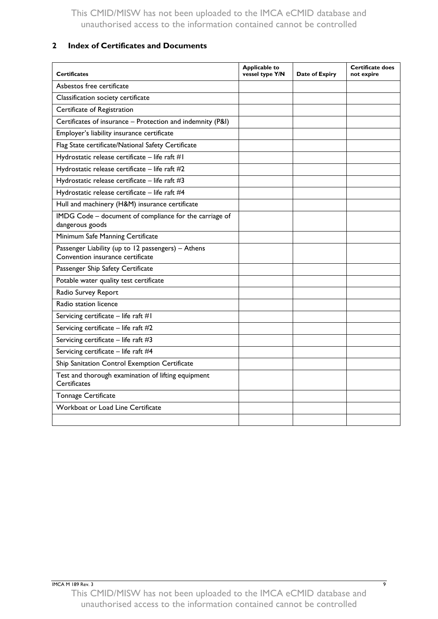## <span id="page-12-0"></span>**2 Index of Certificates and Documents**

| <b>Certificates</b>                                                                    | <b>Applicable to</b><br>vessel type Y/N | Date of Expiry | <b>Certificate does</b><br>not expire |
|----------------------------------------------------------------------------------------|-----------------------------------------|----------------|---------------------------------------|
| Asbestos free certificate                                                              |                                         |                |                                       |
| Classification society certificate                                                     |                                         |                |                                       |
| Certificate of Registration                                                            |                                         |                |                                       |
| Certificates of insurance - Protection and indemnity (P&I)                             |                                         |                |                                       |
| Employer's liability insurance certificate                                             |                                         |                |                                       |
| Flag State certificate/National Safety Certificate                                     |                                         |                |                                       |
| Hydrostatic release certificate - life raft #1                                         |                                         |                |                                       |
| Hydrostatic release certificate - life raft #2                                         |                                         |                |                                       |
| Hydrostatic release certificate - life raft #3                                         |                                         |                |                                       |
| Hydrostatic release certificate - life raft #4                                         |                                         |                |                                       |
| Hull and machinery (H&M) insurance certificate                                         |                                         |                |                                       |
| IMDG Code - document of compliance for the carriage of<br>dangerous goods              |                                         |                |                                       |
| Minimum Safe Manning Certificate                                                       |                                         |                |                                       |
| Passenger Liability (up to 12 passengers) - Athens<br>Convention insurance certificate |                                         |                |                                       |
| Passenger Ship Safety Certificate                                                      |                                         |                |                                       |
| Potable water quality test certificate                                                 |                                         |                |                                       |
| Radio Survey Report                                                                    |                                         |                |                                       |
| Radio station licence                                                                  |                                         |                |                                       |
| Servicing certificate $-$ life raft #1                                                 |                                         |                |                                       |
| Servicing certificate - life raft #2                                                   |                                         |                |                                       |
| Servicing certificate - life raft #3                                                   |                                         |                |                                       |
| Servicing certificate - life raft #4                                                   |                                         |                |                                       |
| Ship Sanitation Control Exemption Certificate                                          |                                         |                |                                       |
| Test and thorough examination of lifting equipment<br>Certificates                     |                                         |                |                                       |
| <b>Tonnage Certificate</b>                                                             |                                         |                |                                       |
| Workboat or Load Line Certificate                                                      |                                         |                |                                       |
|                                                                                        |                                         |                |                                       |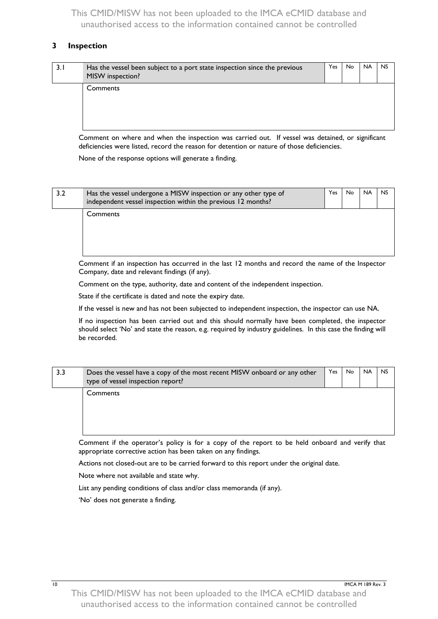#### <span id="page-13-0"></span>**3 Inspection**

| 3.I | Has the vessel been subject to a port state inspection since the previous<br>MISW inspection? | Yes | No. | <b>NA</b> | <b>NS</b> |
|-----|-----------------------------------------------------------------------------------------------|-----|-----|-----------|-----------|
|     | Comments                                                                                      |     |     |           |           |

Comment on where and when the inspection was carried out. If vessel was detained, or significant deficiencies were listed, record the reason for detention or nature of those deficiencies.

None of the response options will generate a finding.

| 3.2 | Has the vessel undergone a MISW inspection or any other type of<br>independent vessel inspection within the previous 12 months? | Yes. | No. | <b>NA</b> | <b>NS</b> |
|-----|---------------------------------------------------------------------------------------------------------------------------------|------|-----|-----------|-----------|
|     | Comments                                                                                                                        |      |     |           |           |

Comment if an inspection has occurred in the last 12 months and record the name of the Inspector Company, date and relevant findings (if any).

Comment on the type, authority, date and content of the independent inspection.

State if the certificate is dated and note the expiry date.

If the vessel is new and has not been subjected to independent inspection, the inspector can use NA.

If no inspection has been carried out and this should normally have been completed, the inspector should select 'No' and state the reason, e.g. required by industry guidelines. In this case the finding will be recorded.

| 3.3 | Does the vessel have a copy of the most recent MISW onboard or any other<br>type of vessel inspection report? | Yes | No. | <b>NA</b> | <b>NS</b> |
|-----|---------------------------------------------------------------------------------------------------------------|-----|-----|-----------|-----------|
|     | Comments                                                                                                      |     |     |           |           |

Comment if the operator's policy is for a copy of the report to be held onboard and verify that appropriate corrective action has been taken on any findings.

Actions not closed-out are to be carried forward to this report under the original date.

Note where not available and state why.

List any pending conditions of class and/or class memoranda (if any).

'No' does not generate a finding.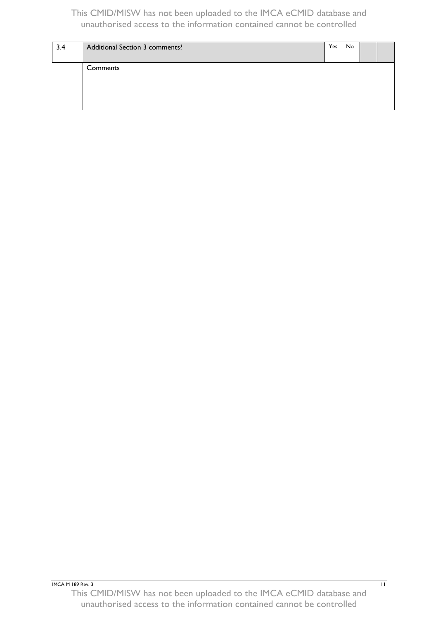| 3.4 | Additional Section 3 comments? | Yes | No. |  |
|-----|--------------------------------|-----|-----|--|
|     | Comments                       |     |     |  |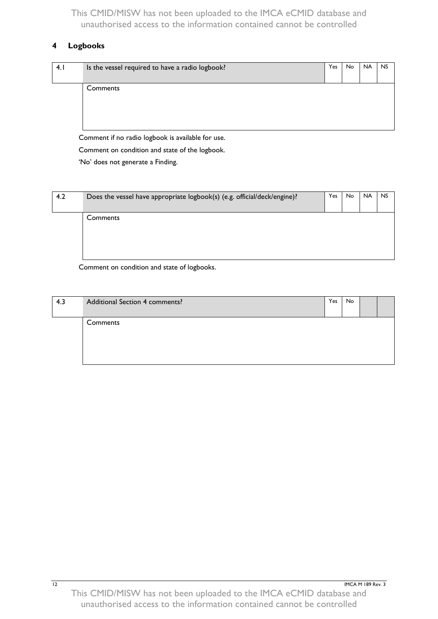## <span id="page-15-0"></span>**4 Logbooks**

| 4.1 | Is the vessel required to have a radio logbook? | Yes | No | <b>NA</b> | <b>NS</b> |
|-----|-------------------------------------------------|-----|----|-----------|-----------|
|     | Comments                                        |     |    |           |           |

Comment if no radio logbook is available for use.

Comment on condition and state of the logbook.

'No' does not generate a Finding.

| 4.2 | Does the vessel have appropriate logbook(s) (e.g. official/deck/engine)? | Yes | No. | <b>NA</b> | <b>NS</b> |
|-----|--------------------------------------------------------------------------|-----|-----|-----------|-----------|
|     | Comments                                                                 |     |     |           |           |

Comment on condition and state of logbooks.

| 4.3 | Additional Section 4 comments? | Yes | No |  |
|-----|--------------------------------|-----|----|--|
|     | Comments                       |     |    |  |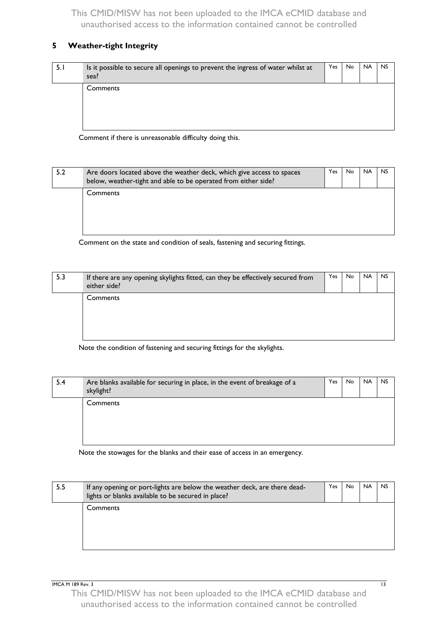## <span id="page-16-0"></span>**5 Weather-tight Integrity**

| 5.I | Is it possible to secure all openings to prevent the ingress of water whilst at<br>sea? | Yes | No. | <b>NA</b> | <b>NS</b> |
|-----|-----------------------------------------------------------------------------------------|-----|-----|-----------|-----------|
|     | Comments                                                                                |     |     |           |           |

Comment if there is unreasonable difficulty doing this.

| 5.2 | Are doors located above the weather deck, which give access to spaces<br>below, weather-tight and able to be operated from either side? | Yes | No. | <b>NA</b> | <b>NS</b> |
|-----|-----------------------------------------------------------------------------------------------------------------------------------------|-----|-----|-----------|-----------|
|     | Comments                                                                                                                                |     |     |           |           |

Comment on the state and condition of seals, fastening and securing fittings.

| 5.3 | If there are any opening skylights fitted, can they be effectively secured from<br>either side? | Yes | No. | <b>NA</b> | <b>NS</b> |
|-----|-------------------------------------------------------------------------------------------------|-----|-----|-----------|-----------|
|     | <b>Comments</b>                                                                                 |     |     |           |           |

Note the condition of fastening and securing fittings for the skylights.

| 5.4 | Are blanks available for securing in place, in the event of breakage of a<br>skylight? | Yes | No. | <b>NA</b> | <b>NS</b> |
|-----|----------------------------------------------------------------------------------------|-----|-----|-----------|-----------|
|     | Comments                                                                               |     |     |           |           |

Note the stowages for the blanks and their ease of access in an emergency.

| 5.5 | If any opening or port-lights are below the weather deck, are there dead-<br>lights or blanks available to be secured in place? | Yes | No. | <b>NA</b> | <b>NS</b> |
|-----|---------------------------------------------------------------------------------------------------------------------------------|-----|-----|-----------|-----------|
|     | Comments                                                                                                                        |     |     |           |           |

**IMCA M 189 Rev. 3** 13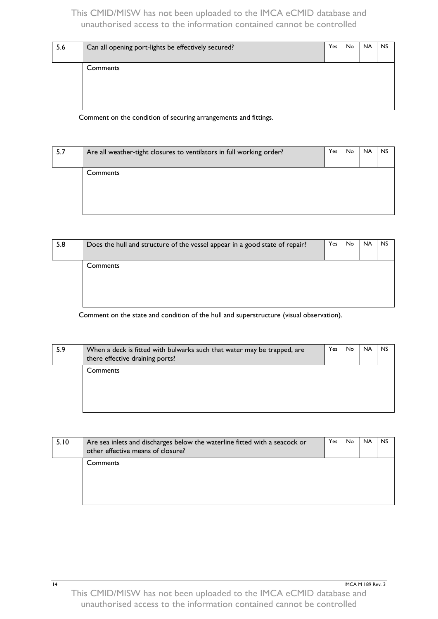| 5.6 | Can all opening port-lights be effectively secured? | <b>Yes</b> | <b>No</b> | <b>NA</b> | <b>NS</b> |
|-----|-----------------------------------------------------|------------|-----------|-----------|-----------|
|     | Comments                                            |            |           |           |           |

Comment on the condition of securing arrangements and fittings.

| 5.7 | Are all weather-tight closures to ventilators in full working order? | Yes | No. | <b>NA</b> | <b>NS</b> |
|-----|----------------------------------------------------------------------|-----|-----|-----------|-----------|
|     | Comments                                                             |     |     |           |           |

| 5.8 | Does the hull and structure of the vessel appear in a good state of repair? | Yes | No. | <b>NA</b> | <b>NS</b> |
|-----|-----------------------------------------------------------------------------|-----|-----|-----------|-----------|
|     | Comments                                                                    |     |     |           |           |
|     |                                                                             |     |     |           |           |

Comment on the state and condition of the hull and superstructure (visual observation).

| 5.9 | When a deck is fitted with bulwarks such that water may be trapped, are<br>there effective draining ports? | Yes | No. | <b>NA</b> | <b>NS</b> |
|-----|------------------------------------------------------------------------------------------------------------|-----|-----|-----------|-----------|
|     | Comments                                                                                                   |     |     |           |           |

| 5.10 | Are sea inlets and discharges below the waterline fitted with a seacock or<br>other effective means of closure? | Yes | No. | <b>NA</b> | <b>NS</b> |
|------|-----------------------------------------------------------------------------------------------------------------|-----|-----|-----------|-----------|
|      | Comments                                                                                                        |     |     |           |           |
|      |                                                                                                                 |     |     |           |           |

14 **IMCA M 189 Rev. 3**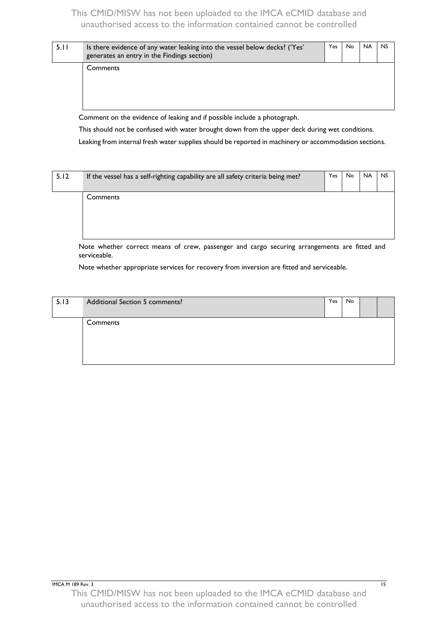| 5.11 | Is there evidence of any water leaking into the vessel below decks? ('Yes'<br>generates an entry in the Findings section) | Yes | No. | <b>NA</b> | <b>NS</b> |
|------|---------------------------------------------------------------------------------------------------------------------------|-----|-----|-----------|-----------|
|      | Comments                                                                                                                  |     |     |           |           |

Comment on the evidence of leaking and if possible include a photograph.

This should not be confused with water brought down from the upper deck during wet conditions.

Leaking from internal fresh water supplies should be reported in machinery or accommodation sections.

| 5.12 | If the vessel has a self-righting capability are all safety criteria being met? | Yes | No | <b>NA</b> | <b>NS</b> |
|------|---------------------------------------------------------------------------------|-----|----|-----------|-----------|
|      | Comments                                                                        |     |    |           |           |

Note whether correct means of crew, passenger and cargo securing arrangements are fitted and serviceable.

Note whether appropriate services for recovery from inversion are fitted and serviceable.

| 5.13 | Additional Section 5 comments? | Yes | No |  |
|------|--------------------------------|-----|----|--|
|      | Comments                       |     |    |  |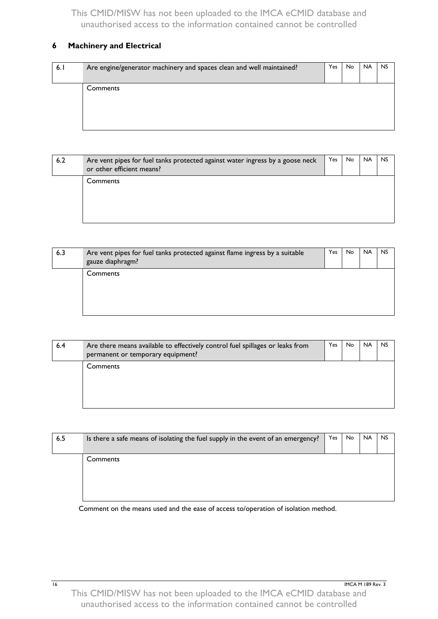## <span id="page-19-0"></span>**6 Machinery and Electrical**

| Comments |  |  |
|----------|--|--|

| 6.2 | Are vent pipes for fuel tanks protected against water ingress by a goose neck<br>or other efficient means? | Yes | No. | <b>NA</b> | <b>NS</b> |
|-----|------------------------------------------------------------------------------------------------------------|-----|-----|-----------|-----------|
|     | Comments                                                                                                   |     |     |           |           |

| 6.3 | Are vent pipes for fuel tanks protected against flame ingress by a suitable<br>gauze diaphragm? | Yes | No. | <b>NA</b> | <b>NS</b> |
|-----|-------------------------------------------------------------------------------------------------|-----|-----|-----------|-----------|
|     | Comments                                                                                        |     |     |           |           |

| 6.4 | Are there means available to effectively control fuel spillages or leaks from<br>permanent or temporary equipment? | Yes | No. | <b>NA</b> | <b>NS</b> |
|-----|--------------------------------------------------------------------------------------------------------------------|-----|-----|-----------|-----------|
|     | <b>Comments</b>                                                                                                    |     |     |           |           |

| 6.5 | Is there a safe means of isolating the fuel supply in the event of an emergency? | Yes | No. | <b>NA</b> | <b>NS</b> |
|-----|----------------------------------------------------------------------------------|-----|-----|-----------|-----------|
|     | Comments                                                                         |     |     |           |           |

Comment on the means used and the ease of access to/operation of isolation method.

16 **IMCA M 189 Rev. 3**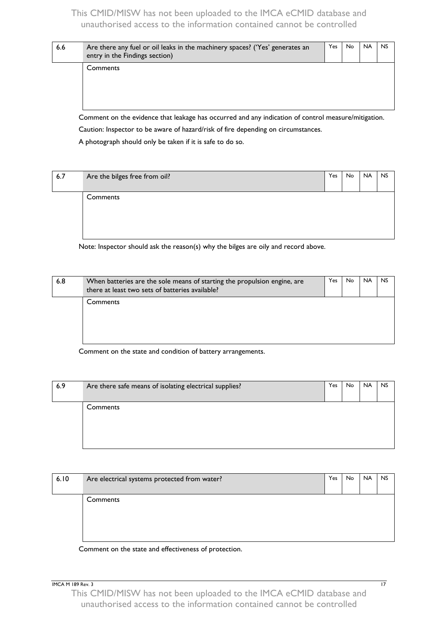| 6.6 | Are there any fuel or oil leaks in the machinery spaces? ('Yes' generates an<br>entry in the Findings section) | Yes | No. | <b>NA</b> | <b>NS</b> |
|-----|----------------------------------------------------------------------------------------------------------------|-----|-----|-----------|-----------|
|     | <b>Comments</b>                                                                                                |     |     |           |           |

Comment on the evidence that leakage has occurred and any indication of control measure/mitigation. Caution: Inspector to be aware of hazard/risk of fire depending on circumstances.

A photograph should only be taken if it is safe to do so.

| 6.7 | Are the bilges free from oil? | Yes | No | <b>NA</b> | <b>NS</b> |
|-----|-------------------------------|-----|----|-----------|-----------|
|     | Comments                      |     |    |           |           |

Note: Inspector should ask the reason(s) why the bilges are oily and record above.

| 6.8 | When batteries are the sole means of starting the propulsion engine, are<br>there at least two sets of batteries available? | Yes | No. | <b>NA</b> | <b>NS</b> |
|-----|-----------------------------------------------------------------------------------------------------------------------------|-----|-----|-----------|-----------|
|     | Comments                                                                                                                    |     |     |           |           |

Comment on the state and condition of battery arrangements.

| 6.9 | Are there safe means of isolating electrical supplies? | Yes | No. | <b>NA</b> | <b>NS</b> |
|-----|--------------------------------------------------------|-----|-----|-----------|-----------|
|     | Comments                                               |     |     |           |           |
|     |                                                        |     |     |           |           |

| 6.10 | Are electrical systems protected from water? | Yes | No. | <b>NA</b> | <b>NS</b> |
|------|----------------------------------------------|-----|-----|-----------|-----------|
|      | Comments                                     |     |     |           |           |
|      |                                              |     |     |           |           |

Comment on the state and effectiveness of protection.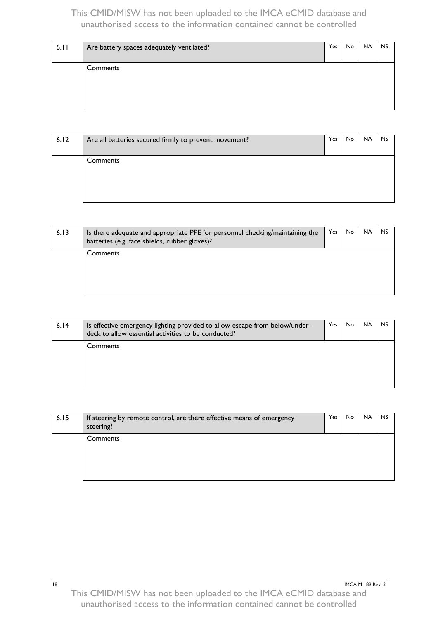| 6.11 | Are battery spaces adequately ventilated? | Yes | No. | <b>NA</b> | <b>NS</b> |
|------|-------------------------------------------|-----|-----|-----------|-----------|
|      | Comments                                  |     |     |           |           |
|      |                                           |     |     |           |           |

| 6.12 | Are all batteries secured firmly to prevent movement? | Yes | No. | <b>NA</b> | <b>NS</b> |
|------|-------------------------------------------------------|-----|-----|-----------|-----------|
|      | Comments                                              |     |     |           |           |
|      |                                                       |     |     |           |           |

| 6.13 | Is there adequate and appropriate PPE for personnel checking/maintaining the<br>batteries (e.g. face shields, rubber gloves)? | Yes | No. | <b>NA</b> | <b>NS</b> |
|------|-------------------------------------------------------------------------------------------------------------------------------|-----|-----|-----------|-----------|
|      | Comments                                                                                                                      |     |     |           |           |

| 6.14 | Is effective emergency lighting provided to allow escape from below/under-<br>deck to allow essential activities to be conducted? | Yes | No. | <b>NA</b> | NS. |
|------|-----------------------------------------------------------------------------------------------------------------------------------|-----|-----|-----------|-----|
|      | Comments                                                                                                                          |     |     |           |     |
|      |                                                                                                                                   |     |     |           |     |

| 6.15 | If steering by remote control, are there effective means of emergency<br>steering? | Yes. | No. | <b>NA</b> | <b>NS</b> |
|------|------------------------------------------------------------------------------------|------|-----|-----------|-----------|
|      | Comments                                                                           |      |     |           |           |
|      |                                                                                    |      |     |           |           |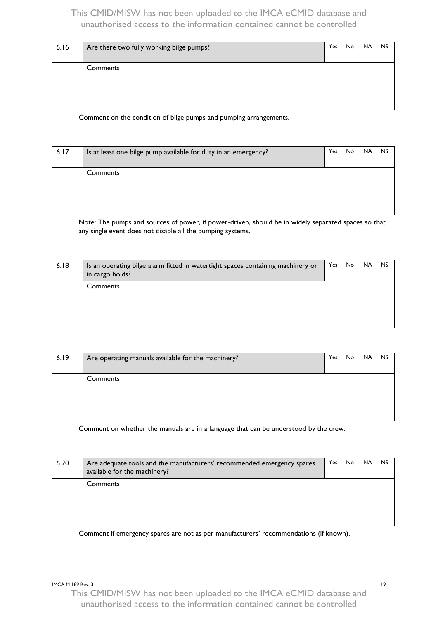| 6.16 | Are there two fully working bilge pumps? | Yes | <b>No</b> | <b>NA</b> | <b>NS</b> |
|------|------------------------------------------|-----|-----------|-----------|-----------|
|      | Comments                                 |     |           |           |           |
|      |                                          |     |           |           |           |

Comment on the condition of bilge pumps and pumping arrangements.

| 6.17 | Is at least one bilge pump available for duty in an emergency? | Yes | <b>No</b> | <b>NA</b> | <b>NS</b> |
|------|----------------------------------------------------------------|-----|-----------|-----------|-----------|
|      | Comments                                                       |     |           |           |           |
|      |                                                                |     |           |           |           |

Note: The pumps and sources of power, if power-driven, should be in widely separated spaces so that any single event does not disable all the pumping systems.

| 6.18 | Is an operating bilge alarm fitted in watertight spaces containing machinery or<br>in cargo holds? | <b>Yes</b> | <b>No</b> | <b>NA</b> | <b>NS</b> |
|------|----------------------------------------------------------------------------------------------------|------------|-----------|-----------|-----------|
|      | Comments                                                                                           |            |           |           |           |

| 6.19 | Are operating manuals available for the machinery? | Yes | No. | <b>NA</b> | <b>NS</b> |
|------|----------------------------------------------------|-----|-----|-----------|-----------|
|      | Comments                                           |     |     |           |           |

Comment on whether the manuals are in a language that can be understood by the crew.

| 6.20 | Are adequate tools and the manufacturers' recommended emergency spares<br>available for the machinery? | Yes | No. | <b>NA</b> | <b>NS</b> |
|------|--------------------------------------------------------------------------------------------------------|-----|-----|-----------|-----------|
|      | Comments                                                                                               |     |     |           |           |
|      |                                                                                                        |     |     |           |           |

Comment if emergency spares are not as per manufacturers' recommendations (if known).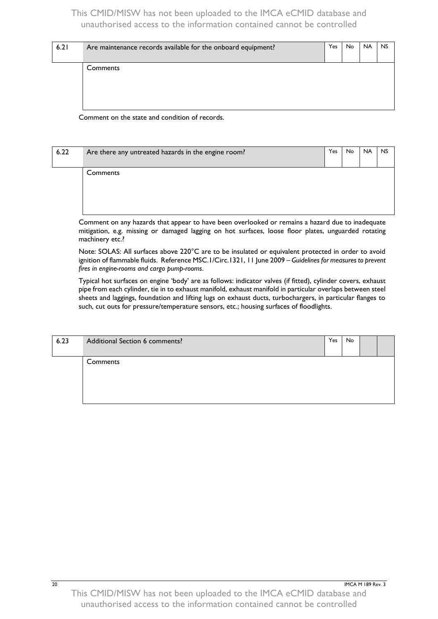| 6.21 | Are maintenance records available for the onboard equipment? | Yes | No. | <b>NA</b> | <b>NS</b> |
|------|--------------------------------------------------------------|-----|-----|-----------|-----------|
|      | Comments                                                     |     |     |           |           |

Comment on the state and condition of records.

| 6.22 | Are there any untreated hazards in the engine room? | Yes | No. | <b>NA</b> | <b>NS</b> |
|------|-----------------------------------------------------|-----|-----|-----------|-----------|
|      | Comments                                            |     |     |           |           |

Comment on any hazards that appear to have been overlooked or remains a hazard due to inadequate mitigation, e.g. missing or damaged lagging on hot surfaces, loose floor plates, unguarded rotating machinery etc.?

Note: SOLAS: All surfaces above 220°C are to be insulated or equivalent protected in order to avoid ignition of flammable fluids. Reference MSC.1/Circ.1321, 11 June 2009 – *Guidelines for measures to prevent fires in engine-rooms and cargo pump-rooms*.

Typical hot surfaces on engine 'body' are as follows: indicator valves (if fitted), cylinder covers, exhaust pipe from each cylinder, tie in to exhaust manifold, exhaust manifold in particular overlaps between steel sheets and laggings, foundation and lifting lugs on exhaust ducts, turbochargers, in particular flanges to such, cut outs for pressure/temperature sensors, etc.; housing surfaces of floodlights.

| 6.23 | Additional Section 6 comments? | Yes | No |  |
|------|--------------------------------|-----|----|--|
|      | Comments                       |     |    |  |
|      |                                |     |    |  |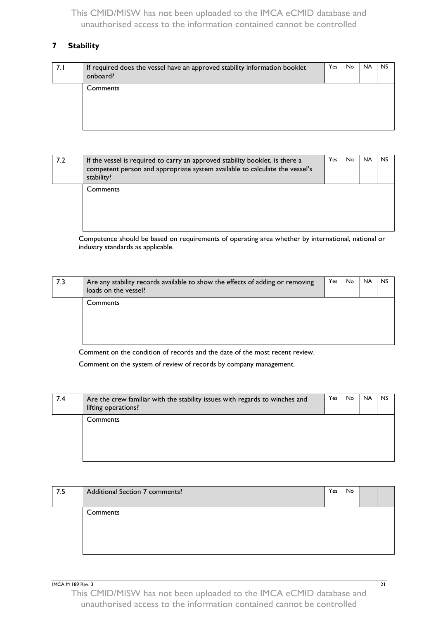## <span id="page-24-0"></span>**7 Stability**

| 7.I | If required does the vessel have an approved stability information booklet<br>onboard? | Yes | No. | <b>NA</b> | <b>NS</b> |
|-----|----------------------------------------------------------------------------------------|-----|-----|-----------|-----------|
|     | Comments                                                                               |     |     |           |           |

| 7.2 | If the vessel is required to carry an approved stability booklet, is there a<br>competent person and appropriate system available to calculate the vessel's<br>stability? | Yes. | No. | <b>NA</b> | <b>NS</b> |
|-----|---------------------------------------------------------------------------------------------------------------------------------------------------------------------------|------|-----|-----------|-----------|
|     | <b>Comments</b>                                                                                                                                                           |      |     |           |           |

Competence should be based on requirements of operating area whether by international, national or industry standards as applicable.

| 7.3 | Are any stability records available to show the effects of adding or removing<br>loads on the vessel? | Yes | No. | <b>NA</b> | <b>NS</b> |
|-----|-------------------------------------------------------------------------------------------------------|-----|-----|-----------|-----------|
|     | <b>Comments</b>                                                                                       |     |     |           |           |

Comment on the condition of records and the date of the most recent review.

Comment on the system of review of records by company management.

| 7.4 | Are the crew familiar with the stability issues with regards to winches and<br>lifting operations? | Yes | No. | <b>NA</b> | <b>NS</b> |
|-----|----------------------------------------------------------------------------------------------------|-----|-----|-----------|-----------|
|     | Comments                                                                                           |     |     |           |           |

| 7.5 | Additional Section 7 comments? | Yes | No |  |
|-----|--------------------------------|-----|----|--|
|     | Comments                       |     |    |  |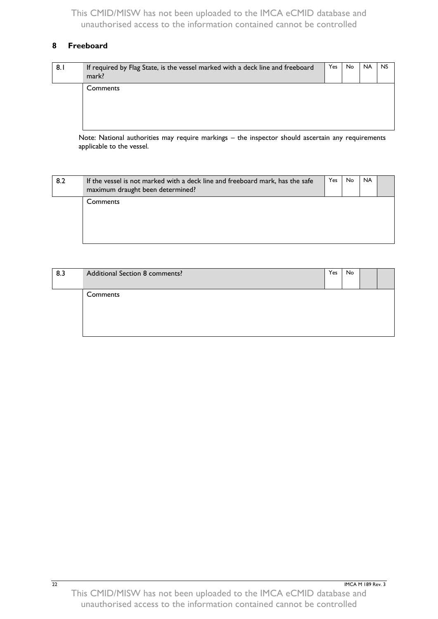## <span id="page-25-0"></span>**8 Freeboard**

| 8.1 | If required by Flag State, is the vessel marked with a deck line and freeboard<br>mark? | Yes | No. | <b>NA</b> | <b>NS</b> |
|-----|-----------------------------------------------------------------------------------------|-----|-----|-----------|-----------|
|     | Comments                                                                                |     |     |           |           |

Note: National authorities may require markings – the inspector should ascertain any requirements applicable to the vessel.

| 8.2 | If the vessel is not marked with a deck line and freeboard mark, has the safe<br>maximum draught been determined? | Yes | No | <b>NA</b> |  |
|-----|-------------------------------------------------------------------------------------------------------------------|-----|----|-----------|--|
|     | Comments                                                                                                          |     |    |           |  |

| 8.3 | Additional Section 8 comments? | Yes | No |  |
|-----|--------------------------------|-----|----|--|
|     | Comments                       |     |    |  |
|     |                                |     |    |  |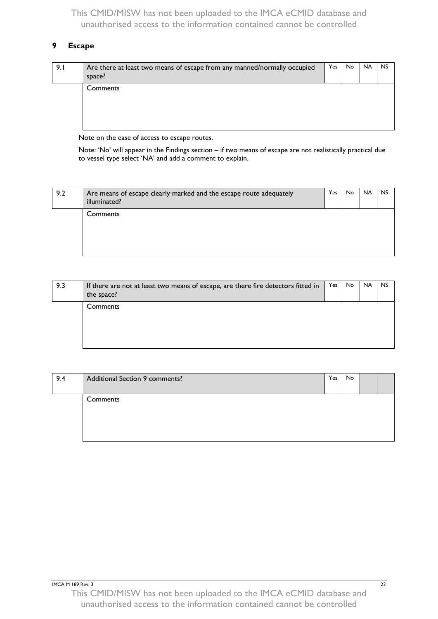## <span id="page-26-0"></span>**9 Escape**

| 9.1 | Are there at least two means of escape from any manned/normally occupied<br>space? | Yes | No. | <b>NA</b> | <b>NS</b> |
|-----|------------------------------------------------------------------------------------|-----|-----|-----------|-----------|
|     | Comments                                                                           |     |     |           |           |

Note on the ease of access to escape routes.

Note: 'No' will appear in the Findings section – if two means of escape are not realistically practical due to vessel type select 'NA' and add a comment to explain.

| 9.2 | Are means of escape clearly marked and the escape route adequately<br>illuminated? | Yes | No. | <b>NA</b> | <b>NS</b> |
|-----|------------------------------------------------------------------------------------|-----|-----|-----------|-----------|
|     | Comments                                                                           |     |     |           |           |

| 9.3 | If there are not at least two means of escape, are there fire detectors fitted in<br>the space? | Yes | No. | <b>NA</b> | <b>NS</b> |
|-----|-------------------------------------------------------------------------------------------------|-----|-----|-----------|-----------|
|     | Comments                                                                                        |     |     |           |           |

| 9.4 | Additional Section 9 comments? | Yes | No |  |
|-----|--------------------------------|-----|----|--|
|     | Comments                       |     |    |  |
|     |                                |     |    |  |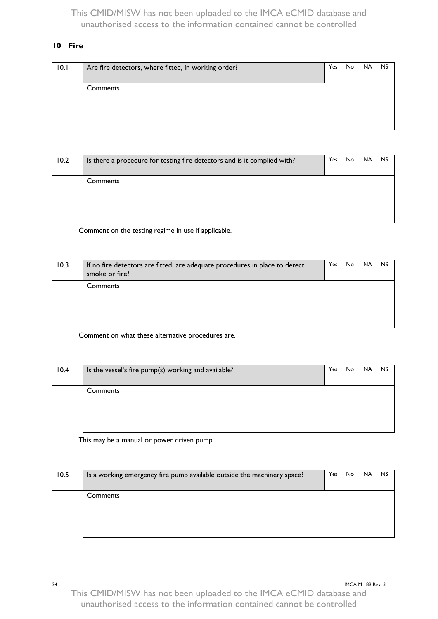#### <span id="page-27-0"></span>**10 Fire**

| 10.1 | Are fire detectors, where fitted, in working order? | Yes | No | <b>NA</b> | <b>NS</b> |
|------|-----------------------------------------------------|-----|----|-----------|-----------|
|      | Comments                                            |     |    |           |           |

| 10.2 | Is there a procedure for testing fire detectors and is it complied with? | Yes | No. | <b>NA</b> | <b>NS</b> |
|------|--------------------------------------------------------------------------|-----|-----|-----------|-----------|
|      | Comments                                                                 |     |     |           |           |

Comment on the testing regime in use if applicable.

| 10.3 | If no fire detectors are fitted, are adequate procedures in place to detect<br>smoke or fire? | Yes | No. | <b>NA</b> | <b>NS</b> |
|------|-----------------------------------------------------------------------------------------------|-----|-----|-----------|-----------|
|      | Comments                                                                                      |     |     |           |           |
|      |                                                                                               |     |     |           |           |

Comment on what these alternative procedures are.

| 10.4 | Is the vessel's fire pump(s) working and available? | Yes | <b>No</b> | <b>NA</b> | <b>NS</b> |
|------|-----------------------------------------------------|-----|-----------|-----------|-----------|
|      | Comments                                            |     |           |           |           |

This may be a manual or power driven pump.

| 10.5 | Is a working emergency fire pump available outside the machinery space? | Yes | No. | <b>NA</b> | <b>NS</b> |
|------|-------------------------------------------------------------------------|-----|-----|-----------|-----------|
|      | Comments                                                                |     |     |           |           |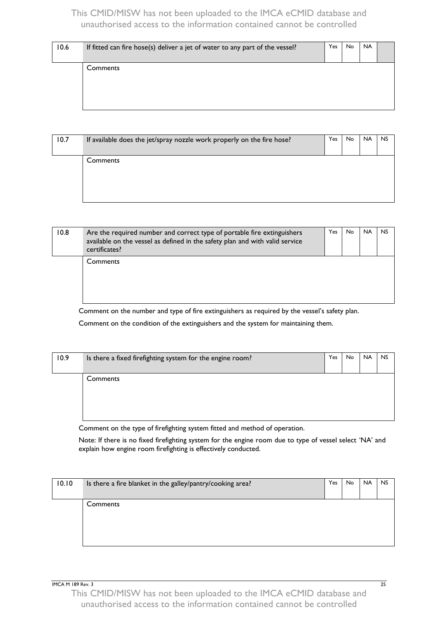| 10.6 | If fitted can fire hose(s) deliver a jet of water to any part of the vessel? | Yes | No | <b>NA</b> |  |
|------|------------------------------------------------------------------------------|-----|----|-----------|--|
|      | Comments                                                                     |     |    |           |  |
|      |                                                                              |     |    |           |  |

| 10.7 | If available does the jet/spray nozzle work properly on the fire hose? | Yes | No. | <b>NA</b> | <b>NS</b> |
|------|------------------------------------------------------------------------|-----|-----|-----------|-----------|
|      | Comments                                                               |     |     |           |           |
|      |                                                                        |     |     |           |           |

| 10.8 | Are the required number and correct type of portable fire extinguishers<br>available on the vessel as defined in the safety plan and with valid service<br>certificates? | Yes | No | <b>NA</b> | <b>NS</b> |
|------|--------------------------------------------------------------------------------------------------------------------------------------------------------------------------|-----|----|-----------|-----------|
|      | Comments                                                                                                                                                                 |     |    |           |           |

Comment on the number and type of fire extinguishers as required by the vessel's safety plan.

Comment on the condition of the extinguishers and the system for maintaining them.

| 10.9 | Is there a fixed firefighting system for the engine room? | Yes | No | <b>NA</b> | <b>NS</b> |
|------|-----------------------------------------------------------|-----|----|-----------|-----------|
|      | Comments                                                  |     |    |           |           |
|      |                                                           |     |    |           |           |

Comment on the type of firefighting system fitted and method of operation.

Note: If there is no fixed firefighting system for the engine room due to type of vessel select 'NA' and explain how engine room firefighting is effectively conducted.

| 10.10 | Is there a fire blanket in the galley/pantry/cooking area? | Yes | <b>No</b> | <b>NA</b> | <b>NS</b> |
|-------|------------------------------------------------------------|-----|-----------|-----------|-----------|
|       | Comments                                                   |     |           |           |           |

IMCA M 189 Rev. 3 25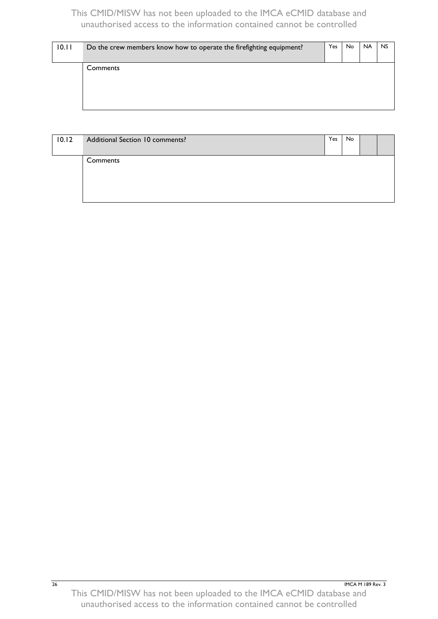| 10.11 | Do the crew members know how to operate the firefighting equipment? | Yes | No. | <b>NA</b> | <b>NS</b> |
|-------|---------------------------------------------------------------------|-----|-----|-----------|-----------|
|       | Comments                                                            |     |     |           |           |
|       |                                                                     |     |     |           |           |

| 10.12 | Additional Section 10 comments? | Yes | No |  |
|-------|---------------------------------|-----|----|--|
|       | Comments                        |     |    |  |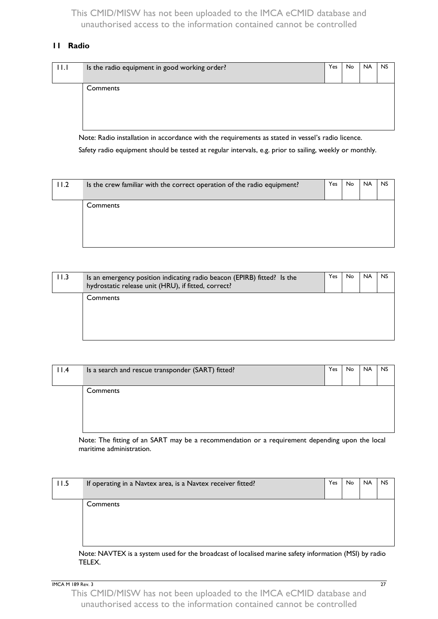#### <span id="page-30-0"></span>**11 Radio**

| 11.1 | Is the radio equipment in good working order? | Yes | No. | <b>NA</b> | <b>NS</b> |
|------|-----------------------------------------------|-----|-----|-----------|-----------|
|      | Comments                                      |     |     |           |           |

Note: Radio installation in accordance with the requirements as stated in vessel's radio licence.

Safety radio equipment should be tested at regular intervals, e.g. prior to sailing, weekly or monthly.

| 11.2 | Is the crew familiar with the correct operation of the radio equipment? | Yes | No | <b>NA</b> | <b>NS</b> |
|------|-------------------------------------------------------------------------|-----|----|-----------|-----------|
|      | Comments                                                                |     |    |           |           |
|      |                                                                         |     |    |           |           |

| 11.3 | Is an emergency position indicating radio beacon (EPIRB) fitted? Is the<br>hydrostatic release unit (HRU), if fitted, correct? | <b>Yes</b> | <b>No</b> | <b>NA</b> | <b>NS</b> |
|------|--------------------------------------------------------------------------------------------------------------------------------|------------|-----------|-----------|-----------|
|      | Comments                                                                                                                       |            |           |           |           |
|      |                                                                                                                                |            |           |           |           |

| 11.4 | Is a search and rescue transponder (SART) fitted? | Yes. | No. | <b>NA</b> | <b>NS</b> |
|------|---------------------------------------------------|------|-----|-----------|-----------|
|      | Comments                                          |      |     |           |           |
|      |                                                   |      |     |           |           |

Note: The fitting of an SART may be a recommendation or a requirement depending upon the local maritime administration.

| 11.5 | If operating in a Navtex area, is a Navtex receiver fitted? | Yes | No. | <b>NA</b> | <b>NS</b> |
|------|-------------------------------------------------------------|-----|-----|-----------|-----------|
|      | Comments                                                    |     |     |           |           |

Note: NAVTEX is a system used for the broadcast of localised marine safety information (MSI) by radio TELEX.

IMCA M 189 Rev. 3 27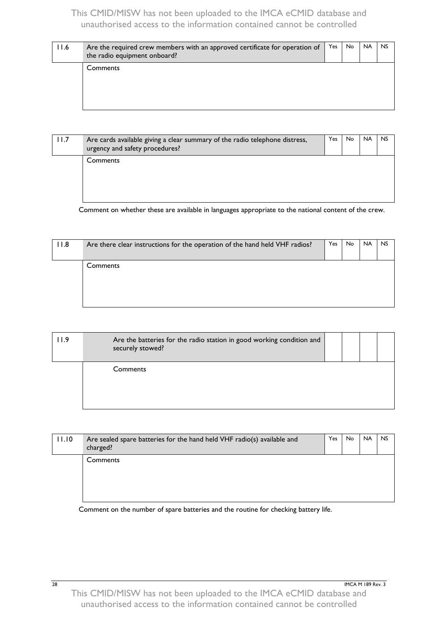| 11.6 | Are the required crew members with an approved certificate for operation of<br>the radio equipment onboard? | Yes | No. | <b>NA</b> | <b>NS</b> |
|------|-------------------------------------------------------------------------------------------------------------|-----|-----|-----------|-----------|
|      | Comments                                                                                                    |     |     |           |           |

| 11.7 | Are cards available giving a clear summary of the radio telephone distress,<br>urgency and safety procedures? | Yes. | No. | <b>NA</b> | <b>NS</b> |
|------|---------------------------------------------------------------------------------------------------------------|------|-----|-----------|-----------|
|      | Comments                                                                                                      |      |     |           |           |

Comment on whether these are available in languages appropriate to the national content of the crew.

| 11.8 | Are there clear instructions for the operation of the hand held VHF radios? | Yes | No. | <b>NA</b> | <b>NS</b> |
|------|-----------------------------------------------------------------------------|-----|-----|-----------|-----------|
|      | Comments                                                                    |     |     |           |           |
|      |                                                                             |     |     |           |           |

| l I.9 | Are the batteries for the radio station in good working condition and<br>securely stowed? |  |  |
|-------|-------------------------------------------------------------------------------------------|--|--|
|       | Comments                                                                                  |  |  |

| 11.10 | Are sealed spare batteries for the hand held VHF radio(s) available and<br>charged? | Yes | No. | <b>NA</b> | <b>NS</b> |
|-------|-------------------------------------------------------------------------------------|-----|-----|-----------|-----------|
|       | Comments                                                                            |     |     |           |           |

Comment on the number of spare batteries and the routine for checking battery life.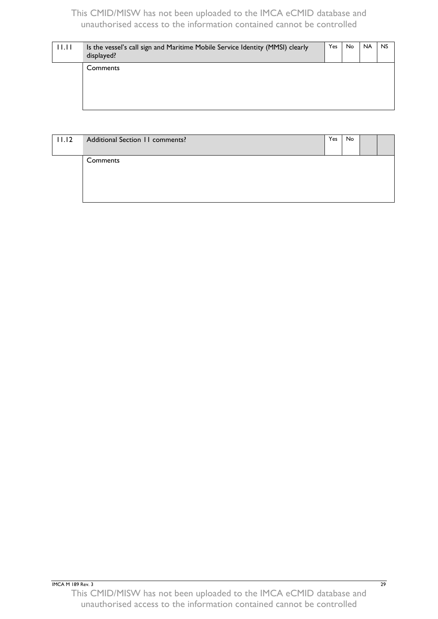| 11.11 | Is the vessel's call sign and Maritime Mobile Service Identity (MMSI) clearly<br>displayed? | <b>Yes</b> | No. | <b>NA</b> | <b>NS</b> |
|-------|---------------------------------------------------------------------------------------------|------------|-----|-----------|-----------|
|       | Comments                                                                                    |            |     |           |           |
|       |                                                                                             |            |     |           |           |

| 11.12 | Additional Section 11 comments? | Yes | No. |  |
|-------|---------------------------------|-----|-----|--|
|       | Comments                        |     |     |  |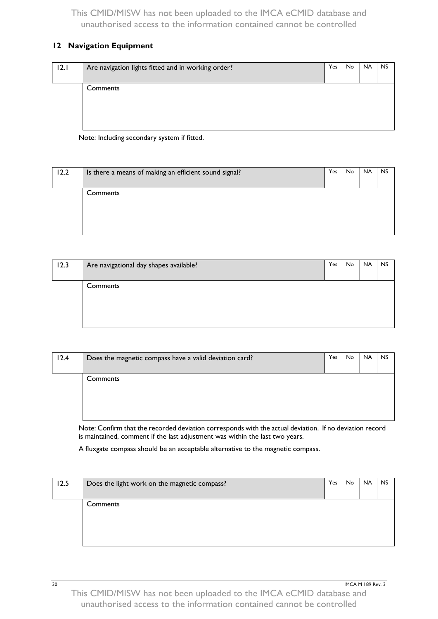## <span id="page-33-0"></span>**12 Navigation Equipment**

| 12.1 | Are navigation lights fitted and in working order? | Yes | No. | <b>NA</b> | <b>NS</b> |
|------|----------------------------------------------------|-----|-----|-----------|-----------|
|      | Comments                                           |     |     |           |           |

Note: Including secondary system if fitted.

| 12.2 | Is there a means of making an efficient sound signal? | Yes | No | <b>NA</b> | <b>NS</b> |
|------|-------------------------------------------------------|-----|----|-----------|-----------|
|      | Comments                                              |     |    |           |           |
|      |                                                       |     |    |           |           |

| 12.3 | Are navigational day shapes available? | Yes | No | <b>NA</b> | <b>NS</b> |
|------|----------------------------------------|-----|----|-----------|-----------|
|      | Comments                               |     |    |           |           |
|      |                                        |     |    |           |           |

| 12.4 | Does the magnetic compass have a valid deviation card? | Yes | No. | <b>NA</b> | <b>NS</b> |
|------|--------------------------------------------------------|-----|-----|-----------|-----------|
|      | Comments                                               |     |     |           |           |
|      |                                                        |     |     |           |           |
|      |                                                        |     |     |           |           |

Note: Confirm that the recorded deviation corresponds with the actual deviation. If no deviation record is maintained, comment if the last adjustment was within the last two years.

A fluxgate compass should be an acceptable alternative to the magnetic compass.

| 12.5 | Does the light work on the magnetic compass? | Yes | No | <b>NA</b> | <b>NS</b> |
|------|----------------------------------------------|-----|----|-----------|-----------|
|      | Comments                                     |     |    |           |           |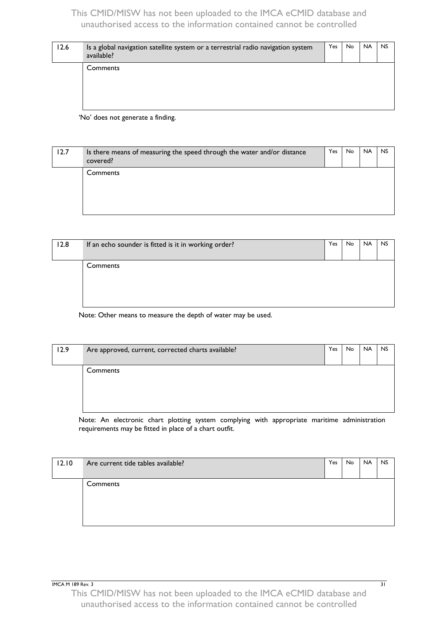| 12.6 | Is a global navigation satellite system or a terrestrial radio navigation system<br>available? | Yes | No. | <b>NA</b> | <b>NS</b> |
|------|------------------------------------------------------------------------------------------------|-----|-----|-----------|-----------|
|      | Comments                                                                                       |     |     |           |           |

'No' does not generate a finding.

| 12.7 | Is there means of measuring the speed through the water and/or distance<br>covered? | Yes | No. | <b>NA</b> | <b>NS</b> |
|------|-------------------------------------------------------------------------------------|-----|-----|-----------|-----------|
|      | Comments                                                                            |     |     |           |           |

| 12.8 | If an echo sounder is fitted is it in working order? | Yes | No. | <b>NA</b> | <b>NS</b> |
|------|------------------------------------------------------|-----|-----|-----------|-----------|
|      |                                                      |     |     |           |           |
|      | Comments                                             |     |     |           |           |
|      |                                                      |     |     |           |           |
|      |                                                      |     |     |           |           |
|      |                                                      |     |     |           |           |
|      |                                                      |     |     |           |           |

Note: Other means to measure the depth of water may be used.

| 12.9 | Are approved, current, corrected charts available?                                                              | Yes | No. | <b>NA</b> | <b>NS</b> |
|------|-----------------------------------------------------------------------------------------------------------------|-----|-----|-----------|-----------|
|      | Comments                                                                                                        |     |     |           |           |
|      |                                                                                                                 |     |     |           |           |
|      |                                                                                                                 |     |     |           |           |
|      |                                                                                                                 |     |     |           |           |
|      | the contract of the contract of the contract of the contract of the contract of the contract of the contract of |     |     |           |           |

Note: An electronic chart plotting system complying with appropriate maritime administration requirements may be fitted in place of a chart outfit.

| 12.10 | Are current tide tables available? | Yes | <b>No</b> | <b>NA</b> | <b>NS</b> |
|-------|------------------------------------|-----|-----------|-----------|-----------|
|       | Comments                           |     |           |           |           |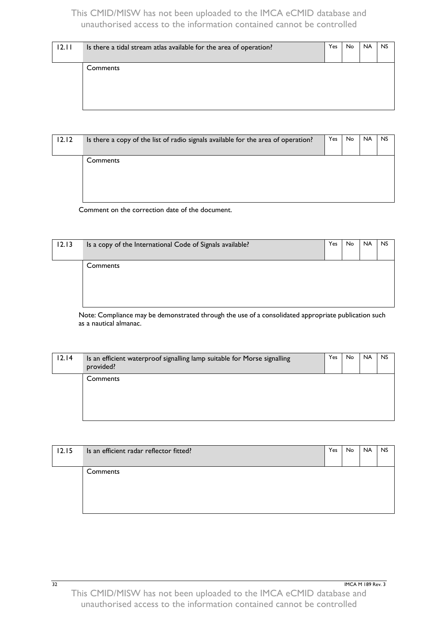| 12.11 | Is there a tidal stream atlas available for the area of operation? | Yes | No. | <b>NA</b> | <b>NS</b> |
|-------|--------------------------------------------------------------------|-----|-----|-----------|-----------|
|       | Comments                                                           |     |     |           |           |
|       |                                                                    |     |     |           |           |

| 12.12 | Is there a copy of the list of radio signals available for the area of operation? | Yes | No. | <b>NA</b> | <b>NS</b> |
|-------|-----------------------------------------------------------------------------------|-----|-----|-----------|-----------|
|       | Comments                                                                          |     |     |           |           |
|       |                                                                                   |     |     |           |           |

Comment on the correction date of the document.

| 12.13 | Is a copy of the International Code of Signals available? | Yes | No. | <b>NA</b> | <b>NS</b> |
|-------|-----------------------------------------------------------|-----|-----|-----------|-----------|
|       | Comments                                                  |     |     |           |           |

Note: Compliance may be demonstrated through the use of a consolidated appropriate publication such as a nautical almanac.

| 12.14 | Is an efficient waterproof signalling lamp suitable for Morse signalling<br>provided? | Yes | No. | <b>NA</b> | <b>NS</b> |
|-------|---------------------------------------------------------------------------------------|-----|-----|-----------|-----------|
|       | Comments                                                                              |     |     |           |           |
|       |                                                                                       |     |     |           |           |

| 12.15 | Is an efficient radar reflector fitted? | Yes | No. | <b>NA</b> | <b>NS</b> |
|-------|-----------------------------------------|-----|-----|-----------|-----------|
|       | Comments                                |     |     |           |           |

**32** IMCA M 189 Rev. 3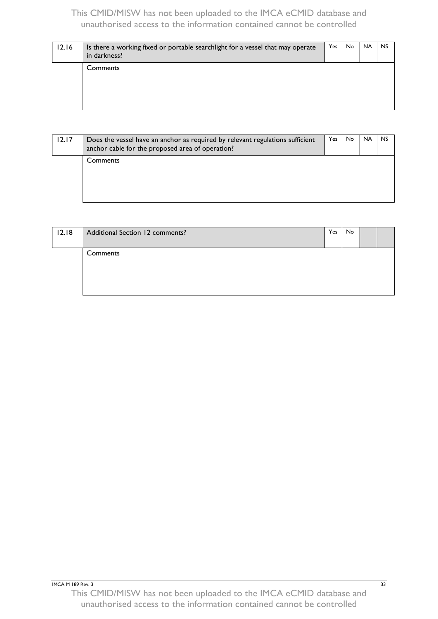| 12.16 | Is there a working fixed or portable searchlight for a vessel that may operate<br>in darkness? | Yes | No. | <b>NA</b> | <b>NS</b> |
|-------|------------------------------------------------------------------------------------------------|-----|-----|-----------|-----------|
|       | Comments                                                                                       |     |     |           |           |
|       |                                                                                                |     |     |           |           |

| 12.17 | Does the vessel have an anchor as required by relevant regulations sufficient<br>anchor cable for the proposed area of operation? | Yes | No. | <b>NA</b> | <b>NS</b> |
|-------|-----------------------------------------------------------------------------------------------------------------------------------|-----|-----|-----------|-----------|
|       | Comments                                                                                                                          |     |     |           |           |

| 12.18 | Additional Section 12 comments? | Yes | No |  |
|-------|---------------------------------|-----|----|--|
|       | Comments                        |     |    |  |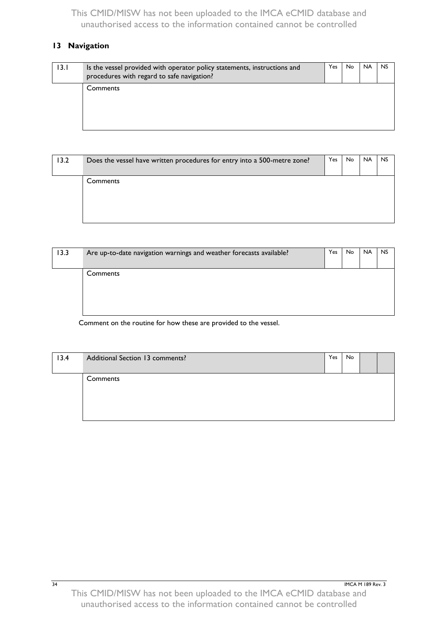# <span id="page-37-0"></span>**13 Navigation**

| 13. I | Is the vessel provided with operator policy statements, instructions and<br>procedures with regard to safe navigation? | Yes I | No. | <b>NA</b> | <b>NS</b> |
|-------|------------------------------------------------------------------------------------------------------------------------|-------|-----|-----------|-----------|
|       | Comments                                                                                                               |       |     |           |           |

| 13.2 | Does the vessel have written procedures for entry into a 500-metre zone? | Yes | No. | <b>NA</b> | <b>NS</b> |
|------|--------------------------------------------------------------------------|-----|-----|-----------|-----------|
|      | Comments                                                                 |     |     |           |           |
|      |                                                                          |     |     |           |           |

| 13.3 | Are up-to-date navigation warnings and weather forecasts available? | Yes | No. | <b>NA</b> | <b>NS</b> |
|------|---------------------------------------------------------------------|-----|-----|-----------|-----------|
|      | Comments                                                            |     |     |           |           |

Comment on the routine for how these are provided to the vessel.

| 13.4 | Additional Section 13 comments? | Yes | No |  |
|------|---------------------------------|-----|----|--|
|      | Comments                        |     |    |  |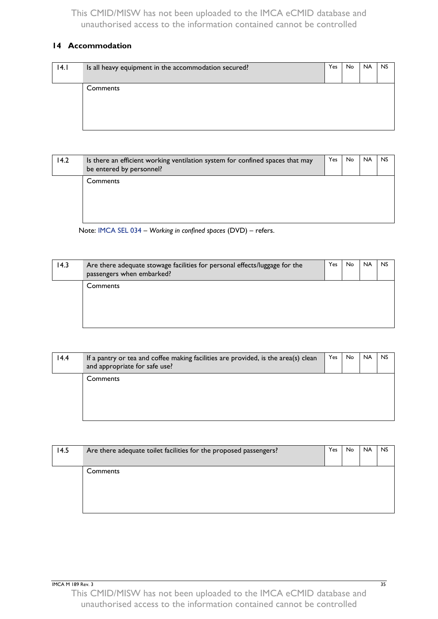## <span id="page-38-0"></span>**14 Accommodation**

| 4.1 | Is all heavy equipment in the accommodation secured? | Yes. | <b>No</b> | <b>NA</b> | <b>NS</b> |
|-----|------------------------------------------------------|------|-----------|-----------|-----------|
|     |                                                      |      |           |           |           |
|     | Comments                                             |      |           |           |           |
|     |                                                      |      |           |           |           |
|     |                                                      |      |           |           |           |
|     |                                                      |      |           |           |           |
|     |                                                      |      |           |           |           |

| 14.2 | Is there an efficient working ventilation system for confined spaces that may<br>be entered by personnel? | Yes | No. | <b>NA</b> | <b>NS</b> |
|------|-----------------------------------------------------------------------------------------------------------|-----|-----|-----------|-----------|
|      | Comments                                                                                                  |     |     |           |           |

Note: [IMCA SEL 034](http://www.imca-int.com/safety-environment-and-legislation/safety-environment-and-legislation-videos/sel-034.aspx) – *Working in confined spaces* (DVD) – refers.

| 14.3 | Are there adequate stowage facilities for personal effects/luggage for the<br>passengers when embarked? | Yes. | No. | <b>NA</b> | <b>NS</b> |
|------|---------------------------------------------------------------------------------------------------------|------|-----|-----------|-----------|
|      | Comments                                                                                                |      |     |           |           |
|      |                                                                                                         |      |     |           |           |

| 14.4 | If a pantry or tea and coffee making facilities are provided, is the area(s) clean<br>and appropriate for safe use? | Yes | No. | <b>NA</b> | <b>NS</b> |
|------|---------------------------------------------------------------------------------------------------------------------|-----|-----|-----------|-----------|
|      | Comments                                                                                                            |     |     |           |           |

| 14.5 | Are there adequate toilet facilities for the proposed passengers? | Yes | No. | <b>NA</b> | <b>NS</b> |
|------|-------------------------------------------------------------------|-----|-----|-----------|-----------|
|      |                                                                   |     |     |           |           |
|      | Comments                                                          |     |     |           |           |
|      |                                                                   |     |     |           |           |
|      |                                                                   |     |     |           |           |
|      |                                                                   |     |     |           |           |
|      |                                                                   |     |     |           |           |
|      |                                                                   |     |     |           |           |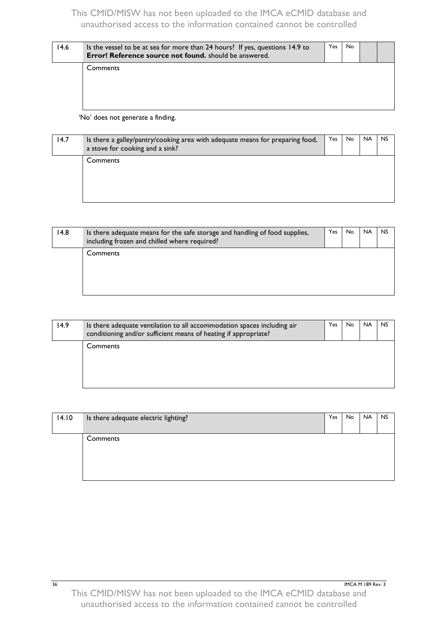| 14.6 | Is the vessel to be at sea for more than 24 hours? If yes, questions 14.9 to<br>Error! Reference source not found. should be answered. | Yes | No. |  |
|------|----------------------------------------------------------------------------------------------------------------------------------------|-----|-----|--|
|      | Comments                                                                                                                               |     |     |  |
|      |                                                                                                                                        |     |     |  |
|      |                                                                                                                                        |     |     |  |

'No' does not generate a finding.

| 14.7 | Is there a galley/pantry/cooking area with adequate means for preparing food,<br>a stove for cooking and a sink? | Yes | No. | <b>NA</b> | <b>NS</b> |
|------|------------------------------------------------------------------------------------------------------------------|-----|-----|-----------|-----------|
|      | Comments                                                                                                         |     |     |           |           |

| 14.8 | Is there adequate means for the safe storage and handling of food supplies,<br>including frozen and chilled where required? | Yes | No. | <b>NA</b> | <b>NS</b> |
|------|-----------------------------------------------------------------------------------------------------------------------------|-----|-----|-----------|-----------|
|      | Comments                                                                                                                    |     |     |           |           |

<span id="page-39-0"></span>

| 14.9 | Is there adequate ventilation to all accommodation spaces including air<br>conditioning and/or sufficient means of heating if appropriate? | Yes | No. | <b>NA</b> | <b>NS</b> |
|------|--------------------------------------------------------------------------------------------------------------------------------------------|-----|-----|-----------|-----------|
|      | Comments                                                                                                                                   |     |     |           |           |
|      |                                                                                                                                            |     |     |           |           |

| 14.10 | Is there adequate electric lighting? | Yes | <b>No</b> | <b>NA</b> | <b>NS</b> |
|-------|--------------------------------------|-----|-----------|-----------|-----------|
|       | Comments                             |     |           |           |           |

**36** IMCA M 189 Rev. 3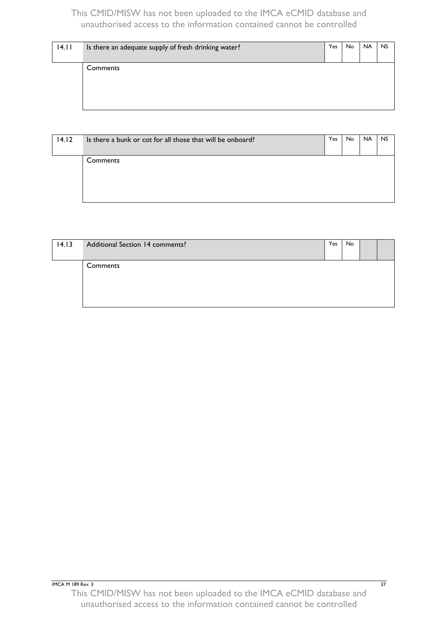| 14.11 | Is there an adequate supply of fresh drinking water? | Yes | No. | <b>NA</b> | <b>NS</b> |
|-------|------------------------------------------------------|-----|-----|-----------|-----------|
|       | Comments                                             |     |     |           |           |
|       |                                                      |     |     |           |           |

| 14.12 | Is there a bunk or cot for all those that will be onboard? | Yes | No. | <b>NA</b> | <b>NS</b> |
|-------|------------------------------------------------------------|-----|-----|-----------|-----------|
|       | Comments                                                   |     |     |           |           |
|       |                                                            |     |     |           |           |

| 14.13 | Additional Section 14 comments? | Yes | No |  |
|-------|---------------------------------|-----|----|--|
|       | Comments                        |     |    |  |
|       |                                 |     |    |  |
|       |                                 |     |    |  |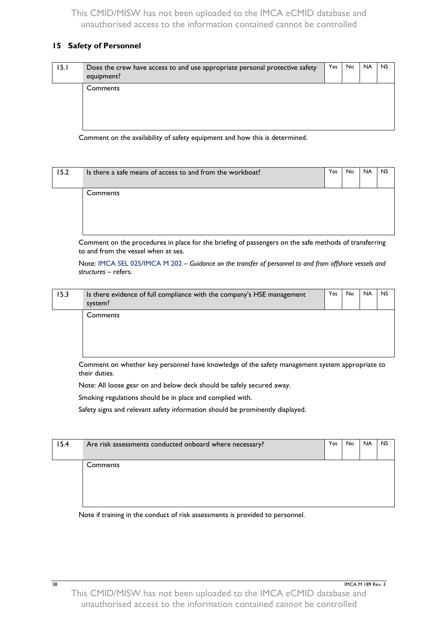#### <span id="page-41-0"></span>**15 Safety of Personnel**

| 15.1 | Does the crew have access to and use appropriate personal protective safety<br>equipment? | Yes | No. | <b>NA</b> | <b>NS</b> |
|------|-------------------------------------------------------------------------------------------|-----|-----|-----------|-----------|
|      | Comments                                                                                  |     |     |           |           |

Comment on the availability of safety equipment and how this is determined.

| 15.2 | Is there a safe means of access to and from the workboat? | Yes | No. | <b>NA</b> | <b>NS</b> |
|------|-----------------------------------------------------------|-----|-----|-----------|-----------|
|      | Comments                                                  |     |     |           |           |

Comment on the procedures in place for the briefing of passengers on the safe methods of transferring to and from the vessel when at sea.

Note: [IMCA SEL 025/](http://www.imca-int.com/media/73256/imcasel025.pdf)[IMCA M 202](http://www.imca-int.com/media/73587/imcam202.pdf) – *Guidance on the transfer of personnel to and from offshore vessels and structures* – refers.

| 15.3 | Is there evidence of full compliance with the company's HSE management<br>system? | Yes | No | <b>NA</b> | <b>NS</b> |
|------|-----------------------------------------------------------------------------------|-----|----|-----------|-----------|
|      | Comments                                                                          |     |    |           |           |

Comment on whether key personnel have knowledge of the safety management system appropriate to their duties.

Note: All loose gear on and below deck should be safely secured away.

Smoking regulations should be in place and complied with.

Safety signs and relevant safety information should be prominently displayed.

| 15.4 | Are risk assessments conducted onboard where necessary? | Yes | No. | <b>NA</b> | <b>NS</b> |
|------|---------------------------------------------------------|-----|-----|-----------|-----------|
|      | Comments                                                |     |     |           |           |
|      |                                                         |     |     |           |           |

Note if training in the conduct of risk assessments is provided to personnel.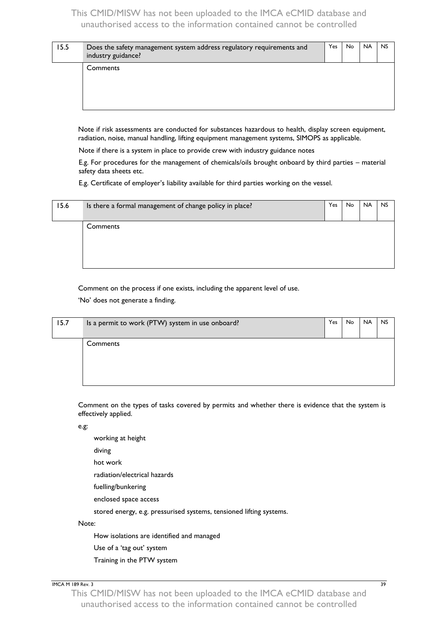| 15.5 | Does the safety management system address regulatory requirements and<br>industry guidance? | Yes | No. | <b>NA</b> | <b>NS</b> |
|------|---------------------------------------------------------------------------------------------|-----|-----|-----------|-----------|
|      | Comments                                                                                    |     |     |           |           |

Note if risk assessments are conducted for substances hazardous to health, display screen equipment, radiation, noise, manual handling, lifting equipment management systems, SIMOPS as applicable.

Note if there is a system in place to provide crew with industry guidance notes

E.g. For procedures for the management of chemicals/oils brought onboard by third parties – material safety data sheets etc.

E.g. Certificate of employer's liability available for third parties working on the vessel.

| 15.6 | Is there a formal management of change policy in place? | Yes | No. | <b>NA</b> | <b>NS</b> |
|------|---------------------------------------------------------|-----|-----|-----------|-----------|
|      | Comments                                                |     |     |           |           |
|      |                                                         |     |     |           |           |

Comment on the process if one exists, including the apparent level of use.

'No' does not generate a finding.

| 15.7 | Is a permit to work (PTW) system in use onboard? | Yes | No | <b>NA</b> | <b>NS</b> |
|------|--------------------------------------------------|-----|----|-----------|-----------|
|      | Comments                                         |     |    |           |           |
|      |                                                  |     |    |           |           |

Comment on the types of tasks covered by permits and whether there is evidence that the system is effectively applied.

e.g:

working at height diving hot work radiation/electrical hazards fuelling/bunkering enclosed space access stored energy, e.g. pressurised systems, tensioned lifting systems.

Note:

How isolations are identified and managed

Use of a 'tag out' system

Training in the PTW system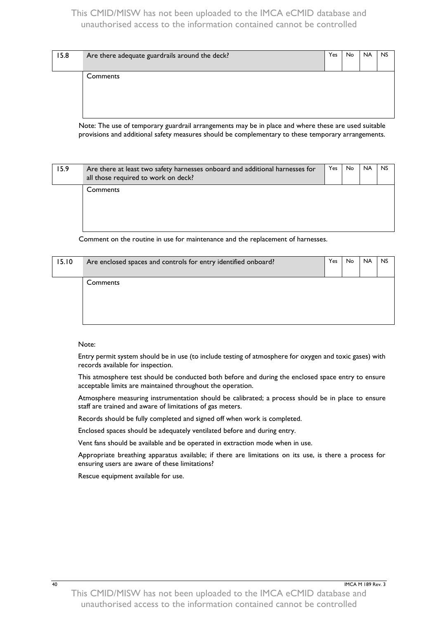| 15.8 | Are there adequate guardrails around the deck? | Yes | <b>No</b> | <b>NA</b> | <b>NS</b> |
|------|------------------------------------------------|-----|-----------|-----------|-----------|
|      | Comments                                       |     |           |           |           |

Note: The use of temporary guardrail arrangements may be in place and where these are used suitable provisions and additional safety measures should be complementary to these temporary arrangements.

| 15.9 | Are there at least two safety harnesses onboard and additional harnesses for<br>all those required to work on deck? | Yes | No. | <b>NA</b> | <b>NS</b> |
|------|---------------------------------------------------------------------------------------------------------------------|-----|-----|-----------|-----------|
|      | <b>Comments</b>                                                                                                     |     |     |           |           |
|      |                                                                                                                     |     |     |           |           |

Comment on the routine in use for maintenance and the replacement of harnesses.

| 15.10 | Are enclosed spaces and controls for entry identified onboard? | Yes | No. | <b>NA</b> | <b>NS</b> |
|-------|----------------------------------------------------------------|-----|-----|-----------|-----------|
|       | Comments                                                       |     |     |           |           |

Note:

Entry permit system should be in use (to include testing of atmosphere for oxygen and toxic gases) with records available for inspection.

This atmosphere test should be conducted both before and during the enclosed space entry to ensure acceptable limits are maintained throughout the operation.

Atmosphere measuring instrumentation should be calibrated; a process should be in place to ensure staff are trained and aware of limitations of gas meters.

Records should be fully completed and signed off when work is completed.

Enclosed spaces should be adequately ventilated before and during entry.

Vent fans should be available and be operated in extraction mode when in use.

Appropriate breathing apparatus available; if there are limitations on its use, is there a process for ensuring users are aware of these limitations?

Rescue equipment available for use.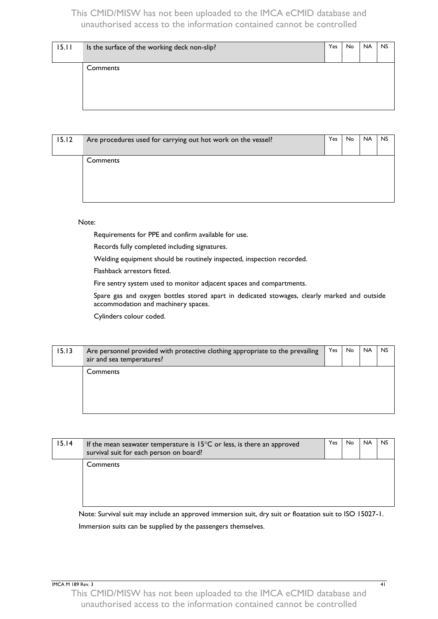| 15.11 | Is the surface of the working deck non-slip? | Yes | No. | <b>NA</b> | <b>NS</b> |
|-------|----------------------------------------------|-----|-----|-----------|-----------|
|       | Comments                                     |     |     |           |           |
|       |                                              |     |     |           |           |

| 15.12 | Are procedures used for carrying out hot work on the vessel? | Yes | No. | <b>NA</b> | <b>NS</b> |
|-------|--------------------------------------------------------------|-----|-----|-----------|-----------|
|       | Comments                                                     |     |     |           |           |

#### Note:

Requirements for PPE and confirm available for use.

Records fully completed including signatures.

Welding equipment should be routinely inspected, inspection recorded.

Flashback arrestors fitted.

Fire sentry system used to monitor adjacent spaces and compartments.

Spare gas and oxygen bottles stored apart in dedicated stowages, clearly marked and outside accommodation and machinery spaces.

Cylinders colour coded.

| 15.13 | Are personnel provided with protective clothing appropriate to the prevailing<br>air and sea temperatures? | Yes | No. | <b>NA</b> | <b>NS</b> |
|-------|------------------------------------------------------------------------------------------------------------|-----|-----|-----------|-----------|
|       | Comments                                                                                                   |     |     |           |           |
|       |                                                                                                            |     |     |           |           |

| 15.14 | If the mean seawater temperature is $15^{\circ}$ C or less, is there an approved<br>survival suit for each person on board? | Yes | No. | <b>NA</b> | <b>NS</b> |
|-------|-----------------------------------------------------------------------------------------------------------------------------|-----|-----|-----------|-----------|
|       | Comments                                                                                                                    |     |     |           |           |

Note: Survival suit may include an approved immersion suit, dry suit or floatation suit to ISO 15027-1. Immersion suits can be supplied by the passengers themselves.

IMCA M 189 Rev. 3 41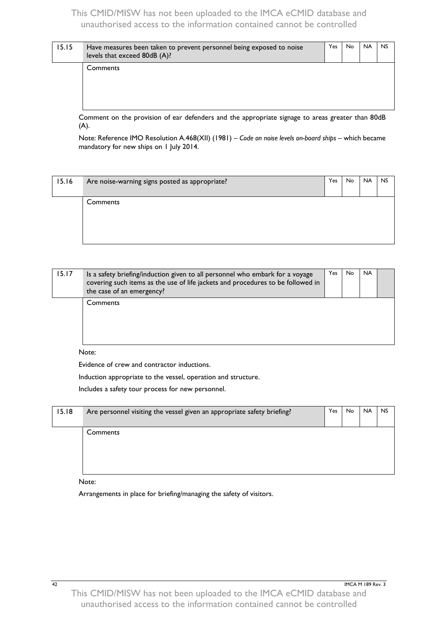| 15.15 | Have measures been taken to prevent personnel being exposed to noise<br>levels that exceed 80dB (A)? | Yes | No. | <b>NA</b> | <b>NS</b> |
|-------|------------------------------------------------------------------------------------------------------|-----|-----|-----------|-----------|
|       | Comments                                                                                             |     |     |           |           |
|       | .                                                                                                    |     |     |           |           |

Comment on the provision of ear defenders and the appropriate signage to areas greater than 80dB (A).

Note: Reference IMO Resolution A.468(XII) (1981) – *Code on noise levels on-board ships* – which became mandatory for new ships on 1 July 2014.

| 15.16 | Are noise-warning signs posted as appropriate? | Yes | No. | <b>NA</b> | <b>NS</b> |
|-------|------------------------------------------------|-----|-----|-----------|-----------|
|       | Comments                                       |     |     |           |           |
|       |                                                |     |     |           |           |

| 15.17 | Is a safety briefing/induction given to all personnel who embark for a voyage<br>covering such items as the use of life jackets and procedures to be followed in<br>the case of an emergency? | Yes | No. | <b>NA</b> |  |
|-------|-----------------------------------------------------------------------------------------------------------------------------------------------------------------------------------------------|-----|-----|-----------|--|
|       | Comments                                                                                                                                                                                      |     |     |           |  |

#### Note:

Evidence of crew and contractor inductions.

Induction appropriate to the vessel, operation and structure.

Includes a safety tour process for new personnel.

| 15.18 | Are personnel visiting the vessel given an appropriate safety briefing? | Yes. | No. | <b>NA</b> | <b>NS</b> |
|-------|-------------------------------------------------------------------------|------|-----|-----------|-----------|
|       | Comments                                                                |      |     |           |           |

#### Note:

Arrangements in place for briefing/managing the safety of visitors.

42 **IMCA M 189 Rev. 3**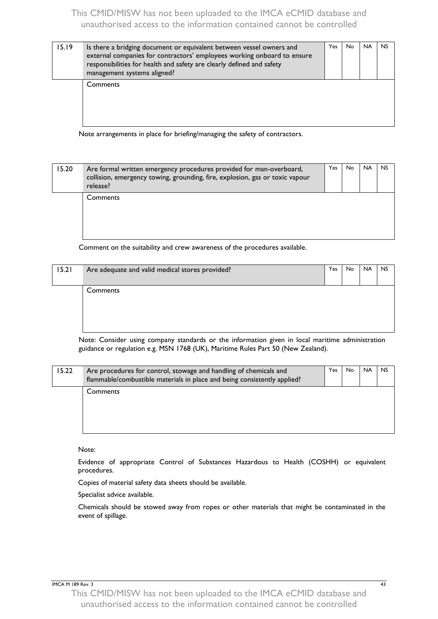| 15.19 | Is there a bridging document or equivalent between vessel owners and<br>external companies for contractors' employees working onboard to ensure<br>responsibilities for health and safety are clearly defined and safety<br>management systems aligned? | Yes | No | <b>NA</b> | <b>NS</b> |
|-------|---------------------------------------------------------------------------------------------------------------------------------------------------------------------------------------------------------------------------------------------------------|-----|----|-----------|-----------|
|       | Comments                                                                                                                                                                                                                                                |     |    |           |           |

Note arrangements in place for briefing/managing the safety of contractors.

| 15.20 | Are formal written emergency procedures provided for man-overboard,<br>collision, emergency towing, grounding, fire, explosion, gas or toxic vapour<br>release? | Yes | <b>No</b> | <b>NA</b> | <b>NS</b> |
|-------|-----------------------------------------------------------------------------------------------------------------------------------------------------------------|-----|-----------|-----------|-----------|
|       | Comments                                                                                                                                                        |     |           |           |           |

Comment on the suitability and crew awareness of the procedures available.

| 15.21 | Are adequate and valid medical stores provided? | Yes | No | <b>NA</b> | <b>NS</b> |
|-------|-------------------------------------------------|-----|----|-----------|-----------|
|       | Comments                                        |     |    |           |           |
|       |                                                 |     |    |           |           |

Note: Consider using company standards or the information given in local maritime administration guidance or regulation e.g. MSN 1768 (UK), Maritime Rules Part 50 (New Zealand).

| 15.22 | Are procedures for control, stowage and handling of chemicals and<br>flammable/combustible materials in place and being consistently applied? | Yes | No. | <b>NA</b> | <b>NS</b> |
|-------|-----------------------------------------------------------------------------------------------------------------------------------------------|-----|-----|-----------|-----------|
|       | Comments                                                                                                                                      |     |     |           |           |

Note:

Evidence of appropriate Control of Substances Hazardous to Health (COSHH) or equivalent procedures.

Copies of material safety data sheets should be available.

Specialist advice available.

Chemicals should be stowed away from ropes or other materials that might be contaminated in the event of spillage.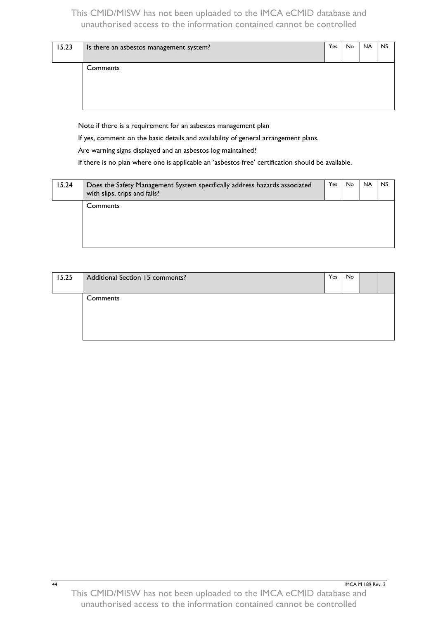| 15.23 | Is there an asbestos management system? | Yes | No. | <b>NA</b> | <b>NS</b> |
|-------|-----------------------------------------|-----|-----|-----------|-----------|
|       | Comments                                |     |     |           |           |

Note if there is a requirement for an asbestos management plan

If yes, comment on the basic details and availability of general arrangement plans.

Are warning signs displayed and an asbestos log maintained?

If there is no plan where one is applicable an 'asbestos free' certification should be available.

| 15.24 | Does the Safety Management System specifically address hazards associated<br>with slips, trips and falls? | Yes | No. | <b>NA</b> | <b>NS</b> |
|-------|-----------------------------------------------------------------------------------------------------------|-----|-----|-----------|-----------|
|       | Comments                                                                                                  |     |     |           |           |

| 15.25 | Additional Section 15 comments? | Yes | No |  |
|-------|---------------------------------|-----|----|--|
|       | Comments                        |     |    |  |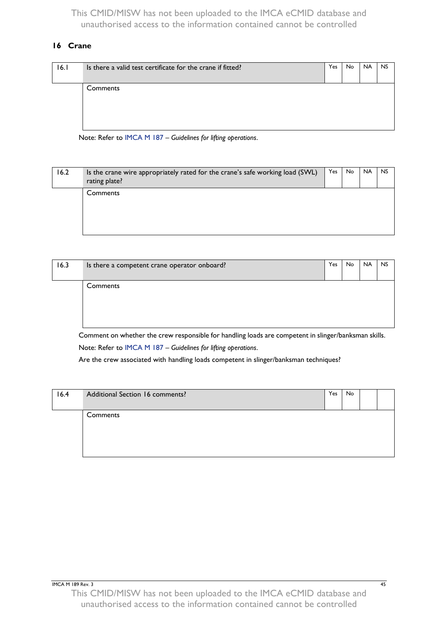## <span id="page-48-0"></span>**16 Crane**

| 16.1 | Is there a valid test certificate for the crane if fitted? | Yes | No | <b>NA</b> | <b>NS</b> |
|------|------------------------------------------------------------|-----|----|-----------|-----------|
|      | Comments                                                   |     |    |           |           |

Note: Refer to [IMCA M 187](http://www.imca-int.com/media/73488/imcam187.pdf) – *Guidelines for lifting operations*.

| 16.2 | Is the crane wire appropriately rated for the crane's safe working load (SWL)<br>rating plate? | Yes | No. | <b>NA</b> | <b>NS</b> |
|------|------------------------------------------------------------------------------------------------|-----|-----|-----------|-----------|
|      | Comments                                                                                       |     |     |           |           |

| 16.3 | Is there a competent crane operator onboard? | Yes | <b>No</b> | <b>NA</b> | <b>NS</b> |
|------|----------------------------------------------|-----|-----------|-----------|-----------|
|      | Comments                                     |     |           |           |           |

Comment on whether the crew responsible for handling loads are competent in slinger/banksman skills. Note: Refer to [IMCA M 187](http://www.imca-int.com/media/73488/imcam187.pdf) – *Guidelines for lifting operations*.

Are the crew associated with handling loads competent in slinger/banksman techniques?

| 16.4 | Additional Section 16 comments? | Yes | No |  |
|------|---------------------------------|-----|----|--|
|      | Comments                        |     |    |  |
|      |                                 |     |    |  |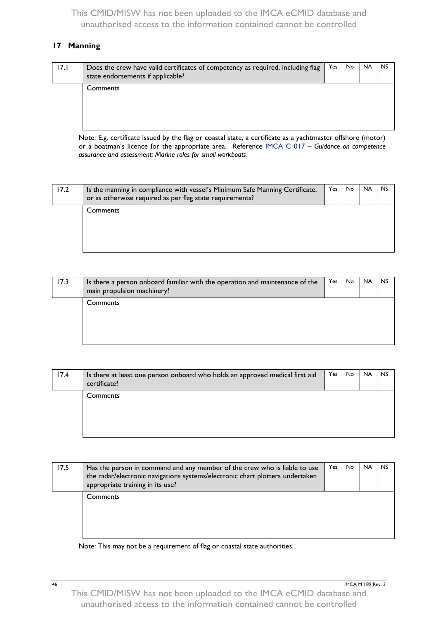#### **17 Manning**

| 17.1 | Does the crew have valid certificates of competency as required, including flag<br>state endorsements if applicable? | Yes | No. | <b>NA</b> | <b>NS</b> |
|------|----------------------------------------------------------------------------------------------------------------------|-----|-----|-----------|-----------|
|      | Comments                                                                                                             |     |     |           |           |

Note: E.g. certificate issued by the flag or coastal state, a certificate as a yachtmaster offshore (motor) or a boatman's licence for the appropriate area. Reference [IMCA C 017](http://www.imca-int.com/media/192749/imcac017.pdf) – *Guidance on competence assurance and assessment: Marine roles for small workboats*.

| 17.2 | Is the manning in compliance with vessel's Minimum Safe Manning Certificate,<br>or as otherwise required as per flag state requirements? | Yes | No. | <b>NA</b> | <b>NS</b> |
|------|------------------------------------------------------------------------------------------------------------------------------------------|-----|-----|-----------|-----------|
|      | <b>Comments</b>                                                                                                                          |     |     |           |           |
|      |                                                                                                                                          |     |     |           |           |

| 17.3 | Is there a person onboard familiar with the operation and maintenance of the<br>main propulsion machinery? | Yes | No. | <b>NA</b> | <b>NS</b> |
|------|------------------------------------------------------------------------------------------------------------|-----|-----|-----------|-----------|
|      | Comments                                                                                                   |     |     |           |           |

| 17.4 | Is there at least one person onboard who holds an approved medical first aid<br>certificate? | Yes | No. | <b>NA</b> | <b>NS</b> |
|------|----------------------------------------------------------------------------------------------|-----|-----|-----------|-----------|
|      | Comments                                                                                     |     |     |           |           |

| 17.5 | Has the person in command and any member of the crew who is liable to use<br>the radar/electronic navigations systems/electronic chart plotters undertaken<br>appropriate training in its use? | <b>Yes</b> | <b>No</b> | <b>NA</b> | <b>NS</b> |
|------|------------------------------------------------------------------------------------------------------------------------------------------------------------------------------------------------|------------|-----------|-----------|-----------|
|      | Comments                                                                                                                                                                                       |            |           |           |           |

Note: This may not be a requirement of flag or coastal state authorities.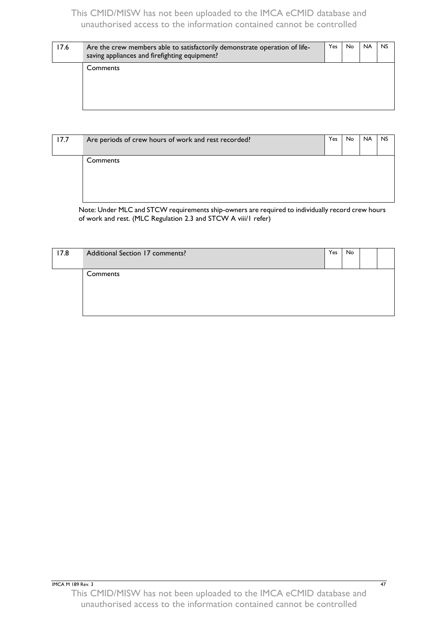| 17.6 | Are the crew members able to satisfactorily demonstrate operation of life-<br>saving appliances and firefighting equipment? | Yes. | No. | <b>NA</b> | <b>NS</b> |
|------|-----------------------------------------------------------------------------------------------------------------------------|------|-----|-----------|-----------|
|      | Comments                                                                                                                    |      |     |           |           |

| 17.7 | Are periods of crew hours of work and rest recorded? | Yes | No. | <b>NA</b> | <b>NS</b> |
|------|------------------------------------------------------|-----|-----|-----------|-----------|
|      | Comments                                             |     |     |           |           |

Note: Under MLC and STCW requirements ship-owners are required to individually record crew hours of work and rest. (MLC Regulation 2.3 and STCW A viii/1 refer)

| 17.8 | Additional Section 17 comments? | Yes | No |  |
|------|---------------------------------|-----|----|--|
|      | Comments                        |     |    |  |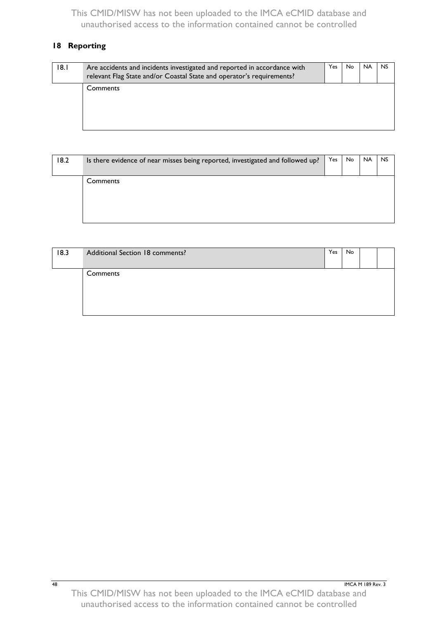# **18 Reporting**

| 18.1 | Are accidents and incidents investigated and reported in accordance with<br>relevant Flag State and/or Coastal State and operator's requirements? | Yes | No. | <b>NA</b> | <b>NS</b> |
|------|---------------------------------------------------------------------------------------------------------------------------------------------------|-----|-----|-----------|-----------|
|      | Comments                                                                                                                                          |     |     |           |           |

| 18.2 | Is there evidence of near misses being reported, investigated and followed up? | Yes | No. | <b>NA</b> | <b>NS</b> |
|------|--------------------------------------------------------------------------------|-----|-----|-----------|-----------|
|      | Comments                                                                       |     |     |           |           |
|      |                                                                                |     |     |           |           |

| 18.3 | Additional Section 18 comments? | Yes | No |  |
|------|---------------------------------|-----|----|--|
|      | Comments                        |     |    |  |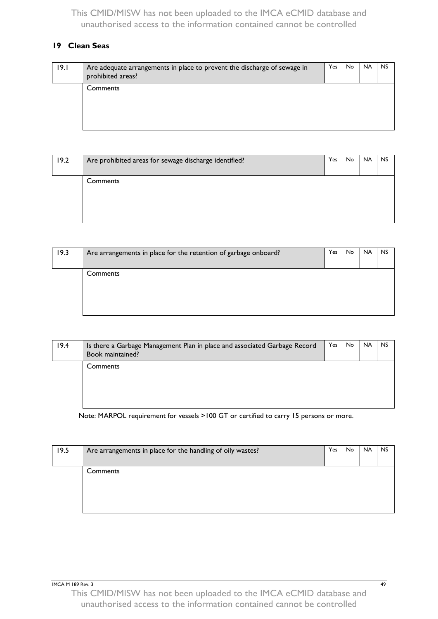## <span id="page-52-0"></span>**19 Clean Seas**

| 19.1 | Are adequate arrangements in place to prevent the discharge of sewage in<br>prohibited areas? | Yes | No. | <b>NA</b> | <b>NS</b> |
|------|-----------------------------------------------------------------------------------------------|-----|-----|-----------|-----------|
|      | Comments                                                                                      |     |     |           |           |

| 19.2 | Are prohibited areas for sewage discharge identified? | Yes. | No. | <b>NA</b> | <b>NS</b> |
|------|-------------------------------------------------------|------|-----|-----------|-----------|
|      | Comments                                              |      |     |           |           |
|      |                                                       |      |     |           |           |

| 19.3 | Are arrangements in place for the retention of garbage onboard? | Yes | No. | <b>NA</b> | <b>NS</b> |
|------|-----------------------------------------------------------------|-----|-----|-----------|-----------|
|      | Comments                                                        |     |     |           |           |

| 19.4 | Is there a Garbage Management Plan in place and associated Garbage Record<br>Book maintained? | Yes | No. | <b>NA</b> | <b>NS</b> |
|------|-----------------------------------------------------------------------------------------------|-----|-----|-----------|-----------|
|      | Comments                                                                                      |     |     |           |           |

Note: MARPOL requirement for vessels >100 GT or certified to carry 15 persons or more.

| 19.5 | Are arrangements in place for the handling of oily wastes? | Yes | <b>No</b> | <b>NA</b> | <b>NS</b> |
|------|------------------------------------------------------------|-----|-----------|-----------|-----------|
|      | Comments                                                   |     |           |           |           |
|      |                                                            |     |           |           |           |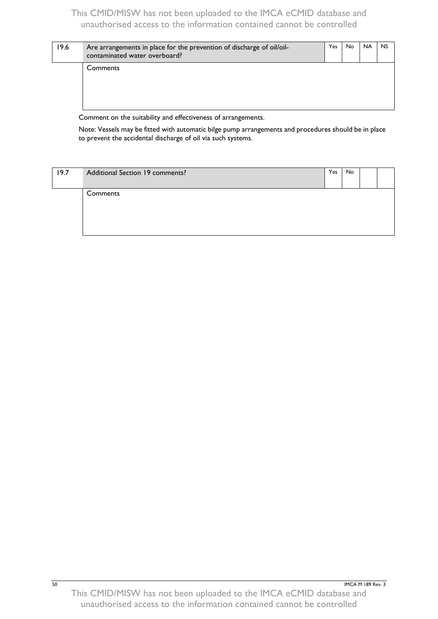| 19.6 | Are arrangements in place for the prevention of discharge of oil/oil-<br>contaminated water overboard? | Yes | No. | <b>NA</b> | <b>NS</b> |
|------|--------------------------------------------------------------------------------------------------------|-----|-----|-----------|-----------|
|      | Comments                                                                                               |     |     |           |           |

Comment on the suitability and effectiveness of arrangements.

Note: Vessels may be fitted with automatic bilge pump arrangements and procedures should be in place to prevent the accidental discharge of oil via such systems.

| 19.7 | Additional Section 19 comments? | Yes | No. |  |
|------|---------------------------------|-----|-----|--|
|      | Comments                        |     |     |  |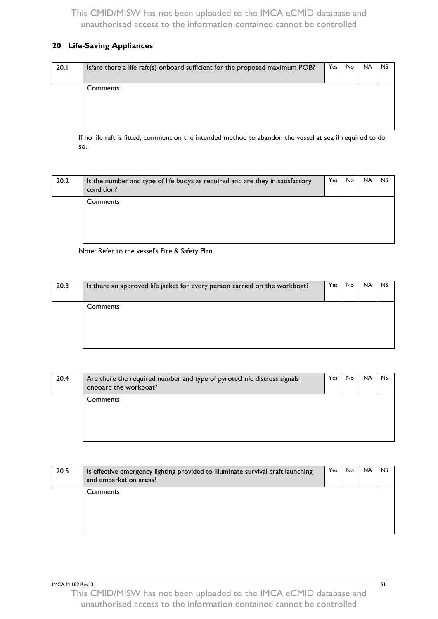#### <span id="page-54-0"></span>**20 Life-Saving Appliances**

| 20.1 | Is/are there a life raft(s) onboard sufficient for the proposed maximum POB? | Yes | No. | <b>NA</b> | <b>NS</b> |
|------|------------------------------------------------------------------------------|-----|-----|-----------|-----------|
|      | Comments                                                                     |     |     |           |           |
|      |                                                                              |     |     |           |           |

If no life raft is fitted, comment on the intended method to abandon the vessel at sea if required to do so.

| 20.2 | Is the number and type of life buoys as required and are they in satisfactory<br>condition? | Yes | No. | <b>NA</b> | <b>NS</b> |
|------|---------------------------------------------------------------------------------------------|-----|-----|-----------|-----------|
|      | Comments                                                                                    |     |     |           |           |

Note: Refer to the vessel's Fire & Safety Plan.

| 20.3 | Is there an approved life jacket for every person carried on the workboat? | Yes | No. | <b>NA</b> | <b>NS</b> |
|------|----------------------------------------------------------------------------|-----|-----|-----------|-----------|
|      | Comments                                                                   |     |     |           |           |
|      |                                                                            |     |     |           |           |
|      |                                                                            |     |     |           |           |

| 20.4 | Are there the required number and type of pyrotechnic distress signals<br>onboard the workboat? | <b>Yes</b> | No. | <b>NA</b> | <b>NS</b> |
|------|-------------------------------------------------------------------------------------------------|------------|-----|-----------|-----------|
|      | Comments                                                                                        |            |     |           |           |

| 20.5 | Is effective emergency lighting provided to illuminate survival craft launching<br>and embarkation areas? | Yes | No. | <b>NA</b> | <b>NS</b> |
|------|-----------------------------------------------------------------------------------------------------------|-----|-----|-----------|-----------|
|      | Comments                                                                                                  |     |     |           |           |

**IMCA M 189 Rev. 3** 51 This CMID/MISW has not been uploaded to the IMCA eCMID database and unauthorised access to the information contained cannot be controlled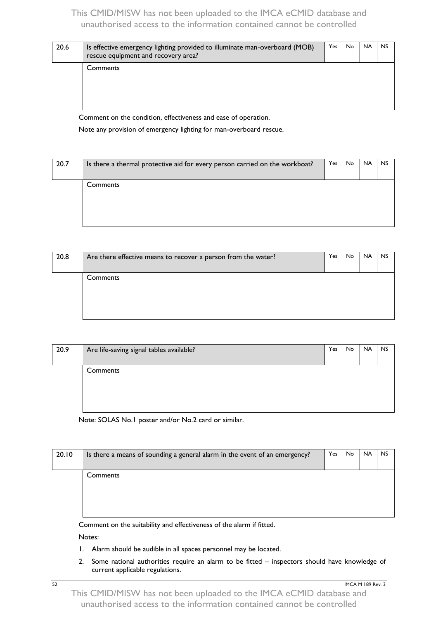| 20.6 | Is effective emergency lighting provided to illuminate man-overboard (MOB)<br>rescue equipment and recovery area? | Yes | No. | <b>NA</b> | <b>NS</b> |
|------|-------------------------------------------------------------------------------------------------------------------|-----|-----|-----------|-----------|
|      | Comments                                                                                                          |     |     |           |           |

Comment on the condition, effectiveness and ease of operation.

Note any provision of emergency lighting for man-overboard rescue.

| 20.7 | Is there a thermal protective aid for every person carried on the workboat? | Yes | <b>No</b> | <b>NA</b> | <b>NS</b> |
|------|-----------------------------------------------------------------------------|-----|-----------|-----------|-----------|
|      | Comments                                                                    |     |           |           |           |

| 20.8 | Are there effective means to recover a person from the water? | Yes | No. | <b>NA</b> | <b>NS</b> |
|------|---------------------------------------------------------------|-----|-----|-----------|-----------|
|      | Comments                                                      |     |     |           |           |
|      |                                                               |     |     |           |           |

| 20.9 | Are life-saving signal tables available? | Yes | No | <b>NA</b> | <b>NS</b> |
|------|------------------------------------------|-----|----|-----------|-----------|
|      | Comments                                 |     |    |           |           |
|      |                                          |     |    |           |           |
|      |                                          |     |    |           |           |

Note: SOLAS No.1 poster and/or No.2 card or similar.

| 20.10 | Is there a means of sounding a general alarm in the event of an emergency? | Yes | No. | <b>NA</b> | <b>NS</b> |
|-------|----------------------------------------------------------------------------|-----|-----|-----------|-----------|
|       | Comments                                                                   |     |     |           |           |
|       | Comment on the suitability and effectiveness of the alarm if fitted.       |     |     |           |           |

Notes:

- 1. Alarm should be audible in all spaces personnel may be located.
- 2. Some national authorities require an alarm to be fitted inspectors should have knowledge of current applicable regulations.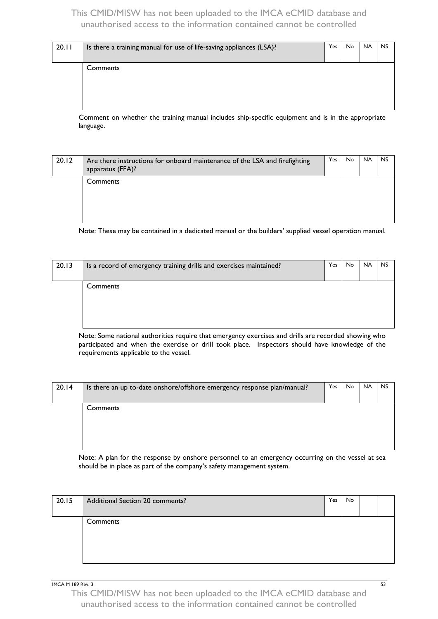| 20.11 | Is there a training manual for use of life-saving appliances (LSA)? | Yes | No. | <b>NA</b> | <b>NS</b> |
|-------|---------------------------------------------------------------------|-----|-----|-----------|-----------|
|       | Comments                                                            |     |     |           |           |
|       |                                                                     |     |     |           |           |

Comment on whether the training manual includes ship-specific equipment and is in the appropriate language.

| 20.12 | Are there instructions for onboard maintenance of the LSA and firefighting<br>apparatus (FFA)? | Yes | <b>No</b> | <b>NA</b> | <b>NS</b> |
|-------|------------------------------------------------------------------------------------------------|-----|-----------|-----------|-----------|
|       | Comments                                                                                       |     |           |           |           |

Note: These may be contained in a dedicated manual or the builders' supplied vessel operation manual.

| 20.13 | Is a record of emergency training drills and exercises maintained? | Yes | <b>No</b> | <b>NA</b> | <b>NS</b> |
|-------|--------------------------------------------------------------------|-----|-----------|-----------|-----------|
|       | Comments                                                           |     |           |           |           |
|       |                                                                    |     |           |           |           |

Note: Some national authorities require that emergency exercises and drills are recorded showing who participated and when the exercise or drill took place. Inspectors should have knowledge of the requirements applicable to the vessel.

| 20.14 | Is there an up to-date onshore/offshore emergency response plan/manual? | Yes | <b>No</b> | <b>NA</b> | <b>NS</b> |
|-------|-------------------------------------------------------------------------|-----|-----------|-----------|-----------|
|       | Comments                                                                |     |           |           |           |
|       |                                                                         |     |           |           |           |

Note: A plan for the response by onshore personnel to an emergency occurring on the vessel at sea should be in place as part of the company's safety management system.

| 20.15 | Additional Section 20 comments? | Yes | No |  |
|-------|---------------------------------|-----|----|--|
|       | Comments                        |     |    |  |

**IMCA M 189 Rev. 3** 53

This CMID/MISW has not been uploaded to the IMCA eCMID database and unauthorised access to the information contained cannot be controlled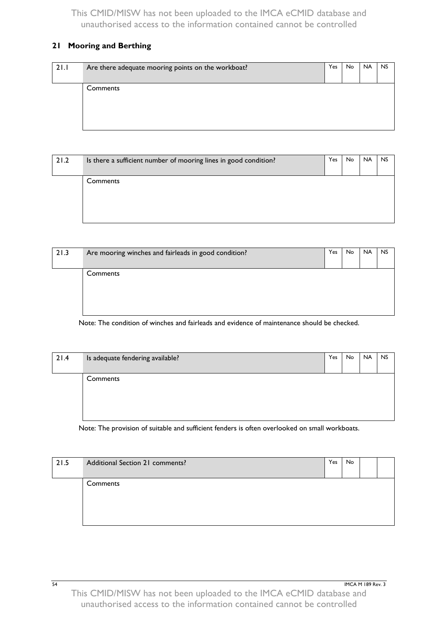## <span id="page-57-0"></span>**21 Mooring and Berthing**

| 21.1 | Are there adequate mooring points on the workboat? | Yes | No. | <b>NA</b> | <b>NS</b> |
|------|----------------------------------------------------|-----|-----|-----------|-----------|
|      | Comments                                           |     |     |           |           |
|      |                                                    |     |     |           |           |

| 21.2 | Is there a sufficient number of mooring lines in good condition? | Yes. | No. | <b>NA</b> | <b>NS</b> |
|------|------------------------------------------------------------------|------|-----|-----------|-----------|
|      | Comments                                                         |      |     |           |           |
|      |                                                                  |      |     |           |           |

| 21.3 | Are mooring winches and fairleads in good condition? | Yes | No. | <b>NA</b> | <b>NS</b> |
|------|------------------------------------------------------|-----|-----|-----------|-----------|
|      | Comments                                             |     |     |           |           |

Note: The condition of winches and fairleads and evidence of maintenance should be checked.

| 21.4 | Is adequate fendering available? | Yes | No. | <b>NA</b> | <b>NS</b> |
|------|----------------------------------|-----|-----|-----------|-----------|
|      | Comments                         |     |     |           |           |
|      |                                  |     |     |           |           |
|      |                                  |     |     |           |           |
|      |                                  |     |     |           |           |

Note: The provision of suitable and sufficient fenders is often overlooked on small workboats.

| 21.5 | Additional Section 21 comments? | Yes | No. |  |
|------|---------------------------------|-----|-----|--|
|      | Comments                        |     |     |  |
|      |                                 |     |     |  |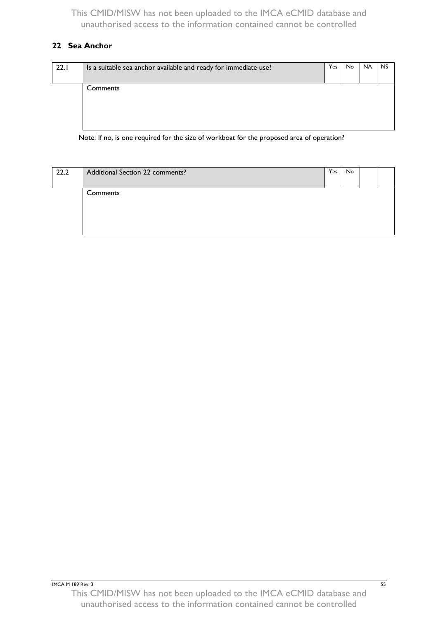## <span id="page-58-0"></span>**22 Sea Anchor**

| Is a suitable sea anchor available and ready for immediate use? | Yes | No | <b>NA</b> | <b>NS</b> |
|-----------------------------------------------------------------|-----|----|-----------|-----------|
|                                                                 |     |    |           |           |
| Comments                                                        |     |    |           |           |
|                                                                 |     |    |           |           |
|                                                                 |     |    |           |           |
|                                                                 |     |    |           |           |
|                                                                 |     |    |           |           |
|                                                                 |     |    |           |           |

Note: If no, is one required for the size of workboat for the proposed area of operation?

| 22.2 | Additional Section 22 comments? | Yes | No |  |
|------|---------------------------------|-----|----|--|
|      | Comments                        |     |    |  |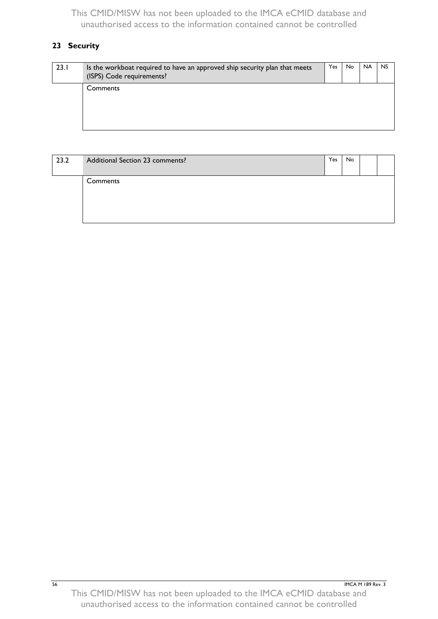# <span id="page-59-0"></span>**23 Security**

| 23.1 | Is the workboat required to have an approved ship security plan that meets<br>(ISPS) Code requirements? | Yes. | <b>No</b> | <b>NA</b> | <b>NS</b> |
|------|---------------------------------------------------------------------------------------------------------|------|-----------|-----------|-----------|
|      | Comments                                                                                                |      |           |           |           |

| 23.2 | Additional Section 23 comments? | Yes | No. |  |
|------|---------------------------------|-----|-----|--|
|      | Comments                        |     |     |  |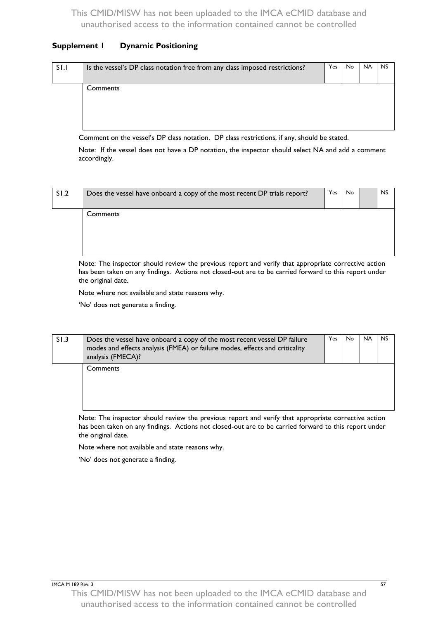#### **Supplement 1 Dynamic Positioning**

| SI.I | Is the vessel's DP class notation free from any class imposed restrictions? | Yes | No | <b>NA</b> | <b>NS</b> |
|------|-----------------------------------------------------------------------------|-----|----|-----------|-----------|
|      | <b>Comments</b>                                                             |     |    |           |           |

Comment on the vessel's DP class notation. DP class restrictions, if any, should be stated.

Note: If the vessel does not have a DP notation, the inspector should select NA and add a comment accordingly.

| SI.2 | Does the vessel have onboard a copy of the most recent DP trials report? | Yes | No | <b>NS</b> |
|------|--------------------------------------------------------------------------|-----|----|-----------|
|      | Comments                                                                 |     |    |           |
|      |                                                                          |     |    |           |

Note: The inspector should review the previous report and verify that appropriate corrective action has been taken on any findings. Actions not closed-out are to be carried forward to this report under the original date.

Note where not available and state reasons why.

'No' does not generate a finding.

| S1.3 | Does the vessel have onboard a copy of the most recent vessel DP failure<br>modes and effects analysis (FMEA) or failure modes, effects and criticality<br>analysis (FMECA)? | Yes. | No. | <b>NA</b> | <b>NS</b> |
|------|------------------------------------------------------------------------------------------------------------------------------------------------------------------------------|------|-----|-----------|-----------|
|      | Comments                                                                                                                                                                     |      |     |           |           |

Note: The inspector should review the previous report and verify that appropriate corrective action has been taken on any findings. Actions not closed-out are to be carried forward to this report under the original date.

Note where not available and state reasons why.

'No' does not generate a finding.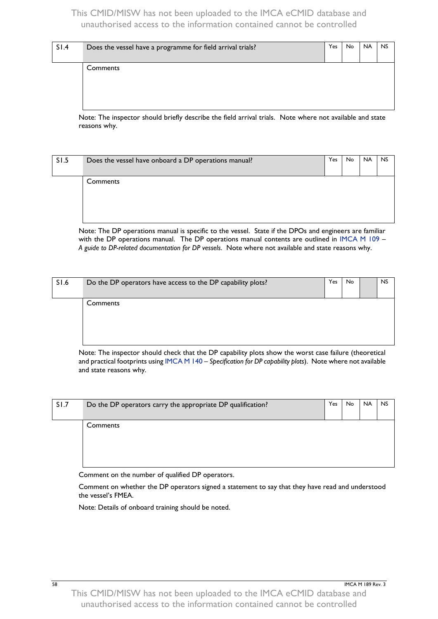| SI.4 | Does the vessel have a programme for field arrival trials? | <b>Yes</b> | No. | <b>NA</b> | <b>NS</b> |
|------|------------------------------------------------------------|------------|-----|-----------|-----------|
|      | Comments                                                   |            |     |           |           |
|      |                                                            |            |     |           |           |

Note: The inspector should briefly describe the field arrival trials. Note where not available and state reasons why.

| SI.5 | Does the vessel have onboard a DP operations manual? | Yes | No | <b>NA</b> | <b>NS</b> |
|------|------------------------------------------------------|-----|----|-----------|-----------|
|      | Comments                                             |     |    |           |           |
|      |                                                      |     |    |           |           |

Note: The DP operations manual is specific to the vessel. State if the DPOs and engineers are familiar with the DP operations manual. The DP operations manual contents are outlined in [IMCA M 109](http://www.imca-int.com/media/73046/imcam109.pdf) – *A guide to DP-related documentation for DP vessels*. Note where not available and state reasons why.

| S1.6 | Do the DP operators have access to the DP capability plots? | Yes | <b>No</b> | <b>NS</b> |
|------|-------------------------------------------------------------|-----|-----------|-----------|
|      | Comments                                                    |     |           |           |

Note: The inspector should check that the DP capability plots show the worst case failure (theoretical and practical footprints usin[g IMCA M 140](http://www.imca-int.com/media/73314/imcam140.pdf) – *Specification for DP capability plots*). Note where not available and state reasons why.

| SI.7 | Do the DP operators carry the appropriate DP qualification? | Yes | No. | <b>NA</b> | <b>NS</b> |
|------|-------------------------------------------------------------|-----|-----|-----------|-----------|
|      | Comments                                                    |     |     |           |           |

Comment on the number of qualified DP operators.

Comment on whether the DP operators signed a statement to say that they have read and understood the vessel's FMEA.

Note: Details of onboard training should be noted.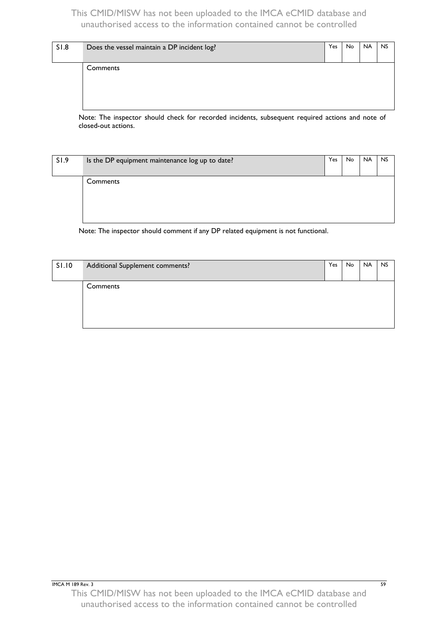|  | <b>NA</b> | <b>NS</b> |
|--|-----------|-----------|
|  |           |           |
|  |           |           |
|  |           |           |
|  |           |           |
|  |           |           |

Note: The inspector should check for recorded incidents, subsequent required actions and note of closed-out actions.

| S1.9 | Is the DP equipment maintenance log up to date? | Yes | No | <b>NA</b> | <b>NS</b> |
|------|-------------------------------------------------|-----|----|-----------|-----------|
|      | Comments                                        |     |    |           |           |
|      |                                                 |     |    |           |           |

Note: The inspector should comment if any DP related equipment is not functional.

| <b>SI.10</b> | Additional Supplement comments? | Yes | No | <b>NA</b> | <b>NS</b> |
|--------------|---------------------------------|-----|----|-----------|-----------|
|              | Comments                        |     |    |           |           |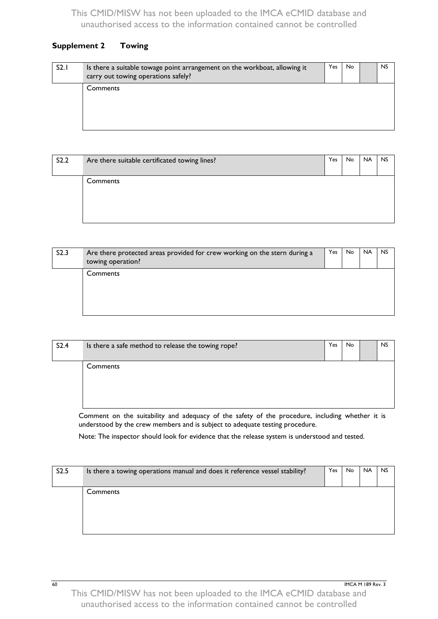## **Supplement 2 Towing**

| S2.1 | Is there a suitable towage point arrangement on the workboat, allowing it<br>carry out towing operations safely? | Yes | No. | <b>NS</b> |
|------|------------------------------------------------------------------------------------------------------------------|-----|-----|-----------|
|      | Comments                                                                                                         |     |     |           |

| S2.2 | Are there suitable certificated towing lines? | Yes | No. | <b>NA</b> | <b>NS</b> |
|------|-----------------------------------------------|-----|-----|-----------|-----------|
|      | Comments                                      |     |     |           |           |

| S2.3 | Are there protected areas provided for crew working on the stern during a<br>towing operation? | Yes | No. | <b>NA</b> | <b>NS</b> |
|------|------------------------------------------------------------------------------------------------|-----|-----|-----------|-----------|
|      | Comments                                                                                       |     |     |           |           |

| S2.4 | Is there a safe method to release the towing rope? | Yes | <b>No</b> | <b>NS</b> |
|------|----------------------------------------------------|-----|-----------|-----------|
|      | Comments                                           |     |           |           |

Comment on the suitability and adequacy of the safety of the procedure, including whether it is understood by the crew members and is subject to adequate testing procedure.

Note: The inspector should look for evidence that the release system is understood and tested.

| S2.5 | Is there a towing operations manual and does it reference vessel stability? | Yes | No. | <b>NA</b> | NS. |
|------|-----------------------------------------------------------------------------|-----|-----|-----------|-----|
|      | Comments                                                                    |     |     |           |     |
|      |                                                                             |     |     |           |     |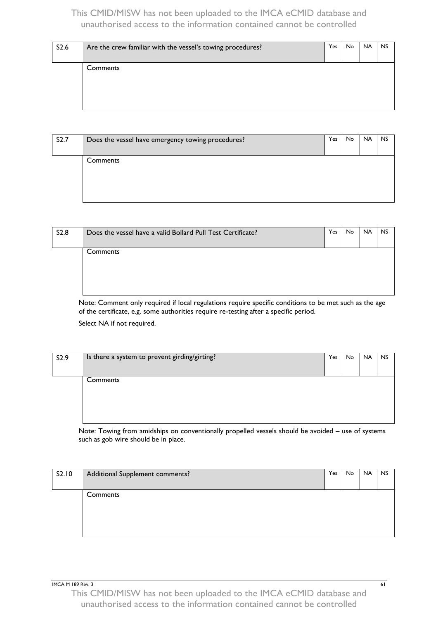| S2.6 | Are the crew familiar with the vessel's towing procedures? | Yes | No. | <b>NA</b> | <b>NS</b> |
|------|------------------------------------------------------------|-----|-----|-----------|-----------|
|      | Comments                                                   |     |     |           |           |

| S2.7 | Does the vessel have emergency towing procedures? | Yes | No. | <b>NA</b> | <b>NS</b> |
|------|---------------------------------------------------|-----|-----|-----------|-----------|
|      | Comments                                          |     |     |           |           |

| <b>S2.8</b> | Does the vessel have a valid Bollard Pull Test Certificate? | Yes | No. | <b>NA</b> | <b>NS</b> |
|-------------|-------------------------------------------------------------|-----|-----|-----------|-----------|
|             | Comments                                                    |     |     |           |           |

Note: Comment only required if local regulations require specific conditions to be met such as the age of the certificate, e.g. some authorities require re-testing after a specific period.

Select NA if not required.

| S2.9 | Is there a system to prevent girding/girting? | Yes | No | <b>NA</b> | <b>NS</b> |
|------|-----------------------------------------------|-----|----|-----------|-----------|
|      |                                               |     |    |           |           |
|      | Comments                                      |     |    |           |           |
|      |                                               |     |    |           |           |

Note: Towing from amidships on conventionally propelled vessels should be avoided – use of systems such as gob wire should be in place.

| S2.10 | Additional Supplement comments? | Yes | No | <b>NA</b> | <b>NS</b> |
|-------|---------------------------------|-----|----|-----------|-----------|
|       | Comments                        |     |    |           |           |
|       |                                 |     |    |           |           |

**IMCA M 189 Rev. 3** 61

This CMID/MISW has not been uploaded to the IMCA eCMID database and unauthorised access to the information contained cannot be controlled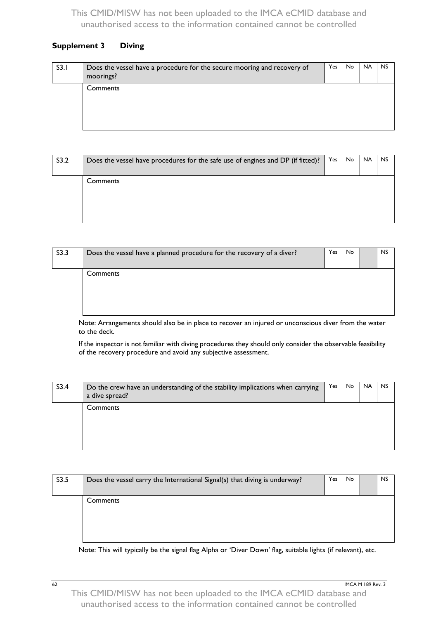#### **Supplement 3 Diving**

| S3.1 | Does the vessel have a procedure for the secure mooring and recovery of<br>moorings? | Yes | No. | <b>NA</b> | <b>NS</b> |
|------|--------------------------------------------------------------------------------------|-----|-----|-----------|-----------|
|      | Comments                                                                             |     |     |           |           |

| S3.2 | Does the vessel have procedures for the safe use of engines and DP (if fitted)? | Yes | No. | <b>NA</b> | <b>NS</b> |
|------|---------------------------------------------------------------------------------|-----|-----|-----------|-----------|
|      | Comments                                                                        |     |     |           |           |
|      |                                                                                 |     |     |           |           |

| S3.3 | Does the vessel have a planned procedure for the recovery of a diver? | Yes | No | <b>NS</b> |
|------|-----------------------------------------------------------------------|-----|----|-----------|
|      | Comments                                                              |     |    |           |

Note: Arrangements should also be in place to recover an injured or unconscious diver from the water to the deck.

If the inspector is not familiar with diving procedures they should only consider the observable feasibility of the recovery procedure and avoid any subjective assessment.

| S3.4 | Do the crew have an understanding of the stability implications when carrying<br>a dive spread? | Yes | No. | <b>NA</b> | <b>NS</b> |
|------|-------------------------------------------------------------------------------------------------|-----|-----|-----------|-----------|
|      | Comments                                                                                        |     |     |           |           |

| S3.5 | Does the vessel carry the International Signal(s) that diving is underway? | Yes | No. | <b>NS</b> |
|------|----------------------------------------------------------------------------|-----|-----|-----------|
|      | Comments                                                                   |     |     |           |
|      |                                                                            |     |     |           |

Note: This will typically be the signal flag Alpha or 'Diver Down' flag, suitable lights (if relevant), etc.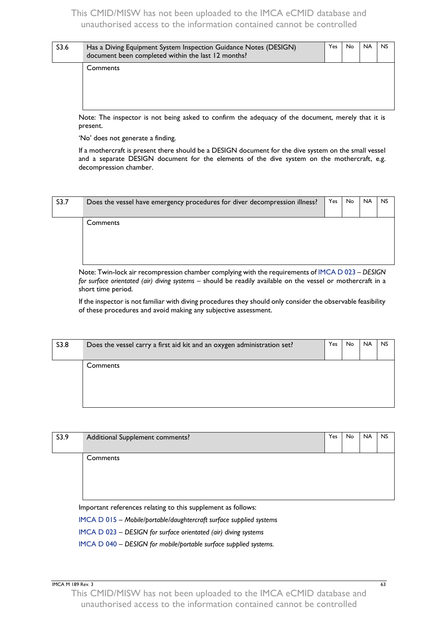| S <sub>3.6</sub> | Has a Diving Equipment System Inspection Guidance Notes (DESIGN)<br>document been completed within the last 12 months? | Yes. | No. | <b>NA</b> | <b>NS</b> |
|------------------|------------------------------------------------------------------------------------------------------------------------|------|-----|-----------|-----------|
|                  | Comments                                                                                                               |      |     |           |           |

Note: The inspector is not being asked to confirm the adequacy of the document, merely that it is present.

'No' does not generate a finding.

If a mothercraft is present there should be a DESIGN document for the dive system on the small vessel and a separate DESIGN document for the elements of the dive system on the mothercraft, e.g. decompression chamber.

| S3.7 | Does the vessel have emergency procedures for diver decompression illness? | Yes | No. | <b>NA</b> | <b>NS</b> |
|------|----------------------------------------------------------------------------|-----|-----|-----------|-----------|
|      | Comments                                                                   |     |     |           |           |
|      |                                                                            |     |     |           |           |

k air recompression chamber complying with the requirements o[f IMCA D 023](http://www.imca-int.com/media/70929/imcad023.pdf) – *D*. *for surface orientated (air) diving systems* – should be readily available on the vessel or mothercraft in a short time period.

If the inspector is not familiar with diving procedures they should only consider the observable feasibility of these procedures and avoid making any subjective assessment.

| S3.8 | Does the vessel carry a first aid kit and an oxygen administration set? | Yes. | No. | <b>NA</b> | <b>NS</b> |
|------|-------------------------------------------------------------------------|------|-----|-----------|-----------|
|      | Comments                                                                |      |     |           |           |
|      |                                                                         |      |     |           |           |

| S3.9 | Additional Supplement comments?                              | Yes | <b>No</b> | <b>NA</b> | <b>NS</b> |
|------|--------------------------------------------------------------|-----|-----------|-----------|-----------|
|      | Comments                                                     |     |           |           |           |
|      | Important references relating to this supplement as follows: |     |           |           |           |

[IMCA D 015](http://www.imca-int.com/media/70851/imcad015.pdf) – *Mobile/portable/daughtercraft surface supplied systems*

[IMCA D 023](http://www.imca-int.com/media/70929/imcad023.pdf) – *DESIGN for surface orientated (air) diving systems*

[IMCA D 040](http://www.imca-int.com/media/71087/imcad040.pdf) – *DESIGN for mobile/portable surface supplied systems.*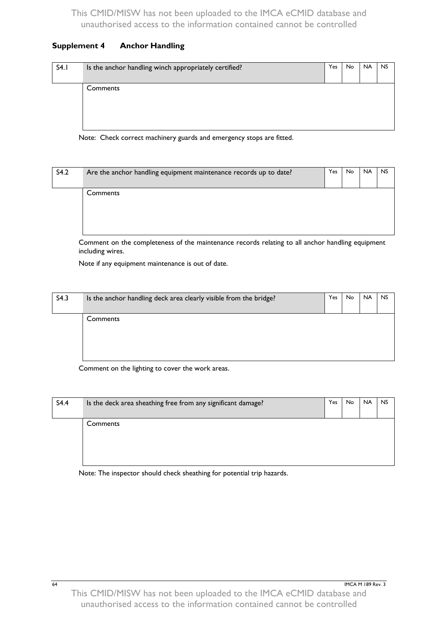#### **Supplement 4 Anchor Handling**

| S4.1 | Is the anchor handling winch appropriately certified? | Yes | No. | <b>NA</b> | <b>NS</b> |
|------|-------------------------------------------------------|-----|-----|-----------|-----------|
|      | Comments                                              |     |     |           |           |
|      |                                                       |     |     |           |           |
|      |                                                       |     |     |           |           |
|      |                                                       |     |     |           |           |
|      |                                                       |     |     |           |           |

Note: Check correct machinery guards and emergency stops are fitted.

| S4.2 | Are the anchor handling equipment maintenance records up to date? | Yes | No. | <b>NA</b> | <b>NS</b> |
|------|-------------------------------------------------------------------|-----|-----|-----------|-----------|
|      | Comments                                                          |     |     |           |           |
|      |                                                                   |     |     |           |           |

Comment on the completeness of the maintenance records relating to all anchor handling equipment including wires.

Note if any equipment maintenance is out of date.

| S4.3 | Is the anchor handling deck area clearly visible from the bridge? | Yes | <b>No</b> | <b>NA</b> | <b>NS</b> |
|------|-------------------------------------------------------------------|-----|-----------|-----------|-----------|
|      | Comments                                                          |     |           |           |           |
|      |                                                                   |     |           |           |           |

Comment on the lighting to cover the work areas.

| S4.4 | Is the deck area sheathing free from any significant damage? | Yes | No | <b>NA</b> | <b>NS</b> |
|------|--------------------------------------------------------------|-----|----|-----------|-----------|
|      | Comments                                                     |     |    |           |           |
|      |                                                              |     |    |           |           |

Note: The inspector should check sheathing for potential trip hazards.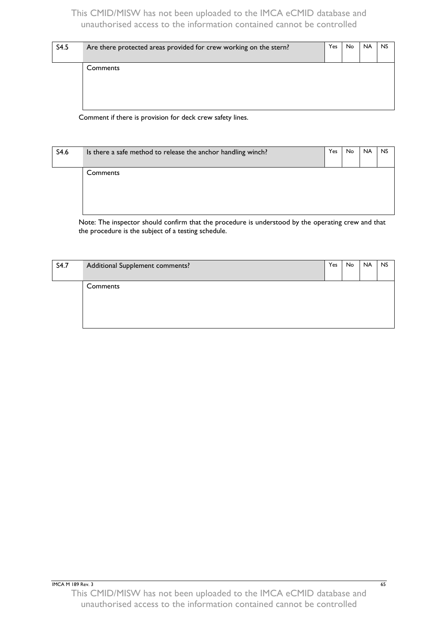| S4.5 | Are there protected areas provided for crew working on the stern? | Yes | No. | <b>NA</b> | <b>NS</b> |
|------|-------------------------------------------------------------------|-----|-----|-----------|-----------|
|      |                                                                   |     |     |           |           |
|      | Comments                                                          |     |     |           |           |
|      |                                                                   |     |     |           |           |
|      |                                                                   |     |     |           |           |
|      |                                                                   |     |     |           |           |
|      |                                                                   |     |     |           |           |

Comment if there is provision for deck crew safety lines.

| S4.6 | Is there a safe method to release the anchor handling winch? | Yes | No. | <b>NA</b> | <b>NS</b> |
|------|--------------------------------------------------------------|-----|-----|-----------|-----------|
|      | Comments                                                     |     |     |           |           |

Note: The inspector should confirm that the procedure is understood by the operating crew and that the procedure is the subject of a testing schedule.

| S4.7 | Additional Supplement comments? | Yes | No | <b>NA</b> | <b>NS</b> |
|------|---------------------------------|-----|----|-----------|-----------|
|      | Comments                        |     |    |           |           |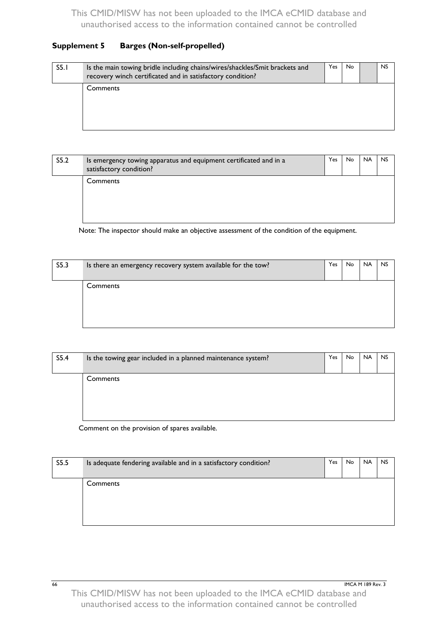#### **Supplement 5 Barges (Non-self-propelled)**

| S5.1 | Is the main towing bridle including chains/wires/shackles/Smit brackets and<br>recovery winch certificated and in satisfactory condition? | Yes. | No | <b>NS</b> |
|------|-------------------------------------------------------------------------------------------------------------------------------------------|------|----|-----------|
|      | Comments                                                                                                                                  |      |    |           |

| S5.2 | Is emergency towing apparatus and equipment certificated and in a<br>satisfactory condition? | Yes | No. | <b>NA</b> | <b>NS</b> |
|------|----------------------------------------------------------------------------------------------|-----|-----|-----------|-----------|
|      | Comments                                                                                     |     |     |           |           |

Note: The inspector should make an objective assessment of the condition of the equipment.

| S5.3 | Is there an emergency recovery system available for the tow? | Yes | <b>No</b> | <b>NA</b> | <b>NS</b> |
|------|--------------------------------------------------------------|-----|-----------|-----------|-----------|
|      | Comments                                                     |     |           |           |           |

| S5.4 | Is the towing gear included in a planned maintenance system? | Yes | No. | <b>NA</b> | <b>NS</b> |
|------|--------------------------------------------------------------|-----|-----|-----------|-----------|
|      | Comments                                                     |     |     |           |           |

Comment on the provision of spares available.

| S5.5 | Is adequate fendering available and in a satisfactory condition? | Yes. | No. | <b>NA</b> | <b>NS</b> |
|------|------------------------------------------------------------------|------|-----|-----------|-----------|
|      | Comments                                                         |      |     |           |           |
|      |                                                                  |      |     |           |           |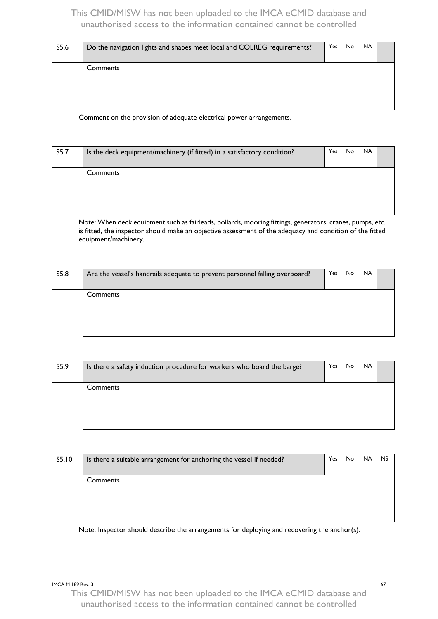| Comments | S5.6 | Do the navigation lights and shapes meet local and COLREG requirements? | Yes | <b>No</b> | <b>NA</b> |  |
|----------|------|-------------------------------------------------------------------------|-----|-----------|-----------|--|
|          |      |                                                                         |     |           |           |  |

Comment on the provision of adequate electrical power arrangements.

| S5.7 | Is the deck equipment/machinery (if fitted) in a satisfactory condition? | <b>Yes</b> | No | <b>NA</b> |  |
|------|--------------------------------------------------------------------------|------------|----|-----------|--|
|      | Comments                                                                 |            |    |           |  |

Note: When deck equipment such as fairleads, bollards, mooring fittings, generators, cranes, pumps, etc. is fitted, the inspector should make an objective assessment of the adequacy and condition of the fitted equipment/machinery.

| S5.8 | Are the vessel's handrails adequate to prevent personnel falling overboard? | Yes | <b>No</b> | <b>NA</b> |  |
|------|-----------------------------------------------------------------------------|-----|-----------|-----------|--|
|      | Comments                                                                    |     |           |           |  |

| S5.9 | Is there a safety induction procedure for workers who board the barge? | Yes | <b>No</b> | <b>NA</b> |  |
|------|------------------------------------------------------------------------|-----|-----------|-----------|--|
|      | Comments                                                               |     |           |           |  |
|      |                                                                        |     |           |           |  |

| S5.10 | Is there a suitable arrangement for anchoring the vessel if needed? | Yes. | No | <b>NA</b> | <b>NS</b> |
|-------|---------------------------------------------------------------------|------|----|-----------|-----------|
|       | Comments                                                            |      |    |           |           |
|       |                                                                     |      |    |           |           |

Note: Inspector should describe the arrangements for deploying and recovering the anchor(s).